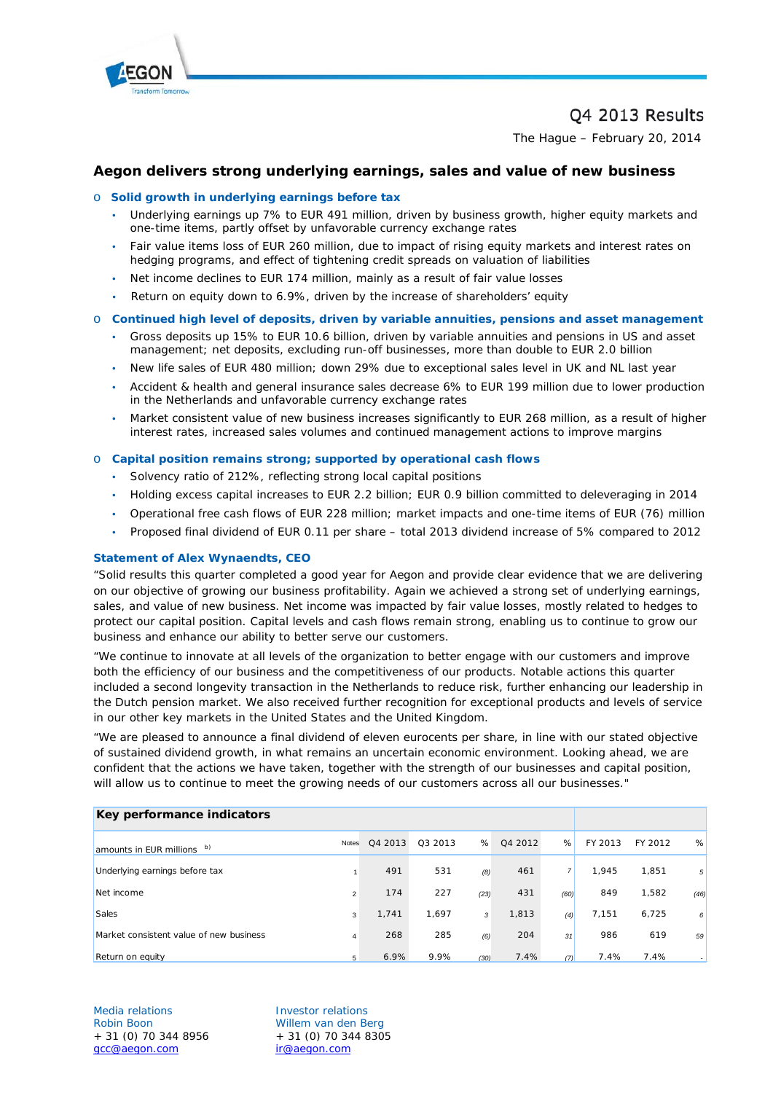

# Q4 2013 Results

The Hague – February 20, 2014

# **Aegon delivers strong underlying earnings, sales and value of new business**

#### o **Solid growth in underlying earnings before tax**

- Underlying earnings up 7% to EUR 491 million, driven by business growth, higher equity markets and one-time items, partly offset by unfavorable currency exchange rates
- Fair value items loss of EUR 260 million, due to impact of rising equity markets and interest rates on hedging programs, and effect of tightening credit spreads on valuation of liabilities
- Net income declines to EUR 174 million, mainly as a result of fair value losses
- Return on equity down to 6.9%, driven by the increase of shareholders' equity

#### o **Continued high level of deposits, driven by variable annuities, pensions and asset management**

- Gross deposits up 15% to EUR 10.6 billion, driven by variable annuities and pensions in US and asset management; net deposits, excluding run-off businesses, more than double to EUR 2.0 billion
- New life sales of EUR 480 million; down 29% due to exceptional sales level in UK and NL last year
- Accident & health and general insurance sales decrease 6% to EUR 199 million due to lower production in the Netherlands and unfavorable currency exchange rates
- Market consistent value of new business increases significantly to EUR 268 million, as a result of higher interest rates, increased sales volumes and continued management actions to improve margins

#### o **Capital position remains strong; supported by operational cash flows**

- Solvency ratio of 212%, reflecting strong local capital positions
- Holding excess capital increases to EUR 2.2 billion; EUR 0.9 billion committed to deleveraging in 2014
- Operational free cash flows of EUR 228 million; market impacts and one-time items of EUR (76) million
- Proposed final dividend of EUR 0.11 per share total 2013 dividend increase of 5% compared to 2012

#### **Statement of Alex Wynaendts, CEO**

"Solid results this quarter completed a good year for Aegon and provide clear evidence that we are delivering on our objective of growing our business profitability. Again we achieved a strong set of underlying earnings, sales, and value of new business. Net income was impacted by fair value losses, mostly related to hedges to protect our capital position. Capital levels and cash flows remain strong, enabling us to continue to grow our business and enhance our ability to better serve our customers.

"We continue to innovate at all levels of the organization to better engage with our customers and improve both the efficiency of our business and the competitiveness of our products. Notable actions this quarter included a second longevity transaction in the Netherlands to reduce risk, further enhancing our leadership in the Dutch pension market. We also received further recognition for exceptional products and levels of service in our other key markets in the United States and the United Kingdom.

"We are pleased to announce a final dividend of eleven eurocents per share, in line with our stated objective of sustained dividend growth, in what remains an uncertain economic environment. Looking ahead, we are confident that the actions we have taken, together with the strength of our businesses and capital position, will allow us to continue to meet the growing needs of our customers across all our businesses."

| Key performance indicators              |                |         |         |      |         |      |         |         |                |
|-----------------------------------------|----------------|---------|---------|------|---------|------|---------|---------|----------------|
| b)<br>amounts in EUR millions           | <b>Notes</b>   | Q4 2013 | Q3 2013 | %    | Q4 2012 | %    | FY 2013 | FY 2012 | %              |
| Underlying earnings before tax          |                | 491     | 531     | (8)  | 461     |      | 1.945   | 1,851   | 5 <sup>5</sup> |
| Net income                              | $\overline{2}$ | 174     | 227     | (23) | 431     | (60) | 849     | 1,582   | (46)           |
| <b>Sales</b>                            | 3              | 1,741   | 1.697   | 3    | 1,813   | (4)  | 7.151   | 6,725   | 6              |
| Market consistent value of new business | 4              | 268     | 285     | (6)  | 204     | 31   | 986     | 619     | 59             |
| Return on equity                        | 5              | 6.9%    | 9.9%    | (30) | 7.4%    | (7)  | 7.4%    | 7.4%    |                |

Media relations Investor relations  $+ 31 (0) 70 344 8956$ [gcc@aegon.com](mailto:gcc@aegon.com) [ir@aegon.com](mailto:ir@aegon.com)

Robin Boon Willem van den Berg<br>+ 31 (0) 70 344 8956 + 31 (0) 70 344 8305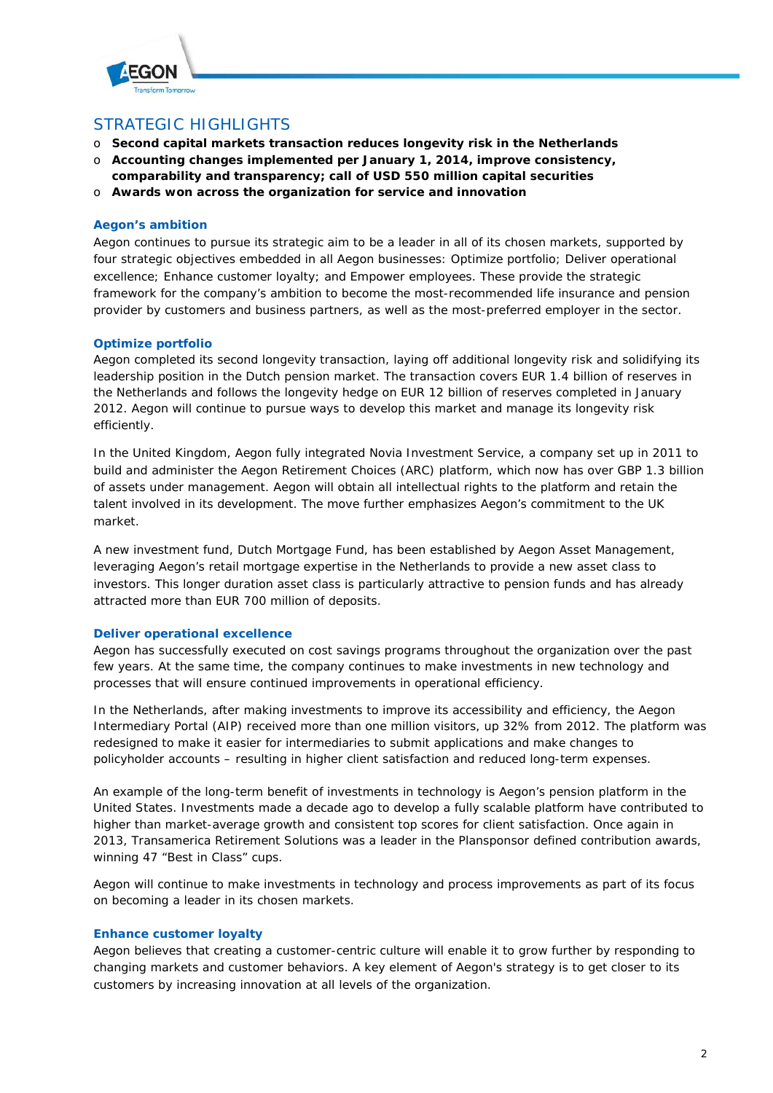

# STRATEGIC HIGHLIGHTS

- o **Second capital markets transaction reduces longevity risk in the Netherlands**
- o **Accounting changes implemented per January 1, 2014, improve consistency,**
- **comparability and transparency; call of USD 550 million capital securities**
- o **Awards won across the organization for service and innovation**

# **Aegon's ambition**

Aegon continues to pursue its strategic aim to be a leader in all of its chosen markets, supported by four strategic objectives embedded in all Aegon businesses: Optimize portfolio; Deliver operational excellence; Enhance customer loyalty; and Empower employees. These provide the strategic framework for the company's ambition to become the most-recommended life insurance and pension provider by customers and business partners, as well as the most-preferred employer in the sector.

# **Optimize portfolio**

Aegon completed its second longevity transaction, laying off additional longevity risk and solidifying its leadership position in the Dutch pension market. The transaction covers EUR 1.4 billion of reserves in the Netherlands and follows the longevity hedge on EUR 12 billion of reserves completed in January 2012. Aegon will continue to pursue ways to develop this market and manage its longevity risk efficiently.

In the United Kingdom, Aegon fully integrated Novia Investment Service, a company set up in 2011 to build and administer the Aegon Retirement Choices (ARC) platform, which now has over GBP 1.3 billion of assets under management. Aegon will obtain all intellectual rights to the platform and retain the talent involved in its development. The move further emphasizes Aegon's commitment to the UK market.

A new investment fund, Dutch Mortgage Fund, has been established by Aegon Asset Management, leveraging Aegon's retail mortgage expertise in the Netherlands to provide a new asset class to investors. This longer duration asset class is particularly attractive to pension funds and has already attracted more than EUR 700 million of deposits.

# **Deliver operational excellence**

Aegon has successfully executed on cost savings programs throughout the organization over the past few years. At the same time, the company continues to make investments in new technology and processes that will ensure continued improvements in operational efficiency.

In the Netherlands, after making investments to improve its accessibility and efficiency, the Aegon Intermediary Portal (AIP) received more than one million visitors, up 32% from 2012. The platform was redesigned to make it easier for intermediaries to submit applications and make changes to policyholder accounts – resulting in higher client satisfaction and reduced long-term expenses.

An example of the long-term benefit of investments in technology is Aegon's pension platform in the United States. Investments made a decade ago to develop a fully scalable platform have contributed to higher than market-average growth and consistent top scores for client satisfaction. Once again in 2013, Transamerica Retirement Solutions was a leader in the Plansponsor defined contribution awards, winning 47 "Best in Class" cups.

Aegon will continue to make investments in technology and process improvements as part of its focus on becoming a leader in its chosen markets.

# **Enhance customer loyalty**

Aegon believes that creating a customer-centric culture will enable it to grow further by responding to changing markets and customer behaviors. A key element of Aegon's strategy is to get closer to its customers by increasing innovation at all levels of the organization.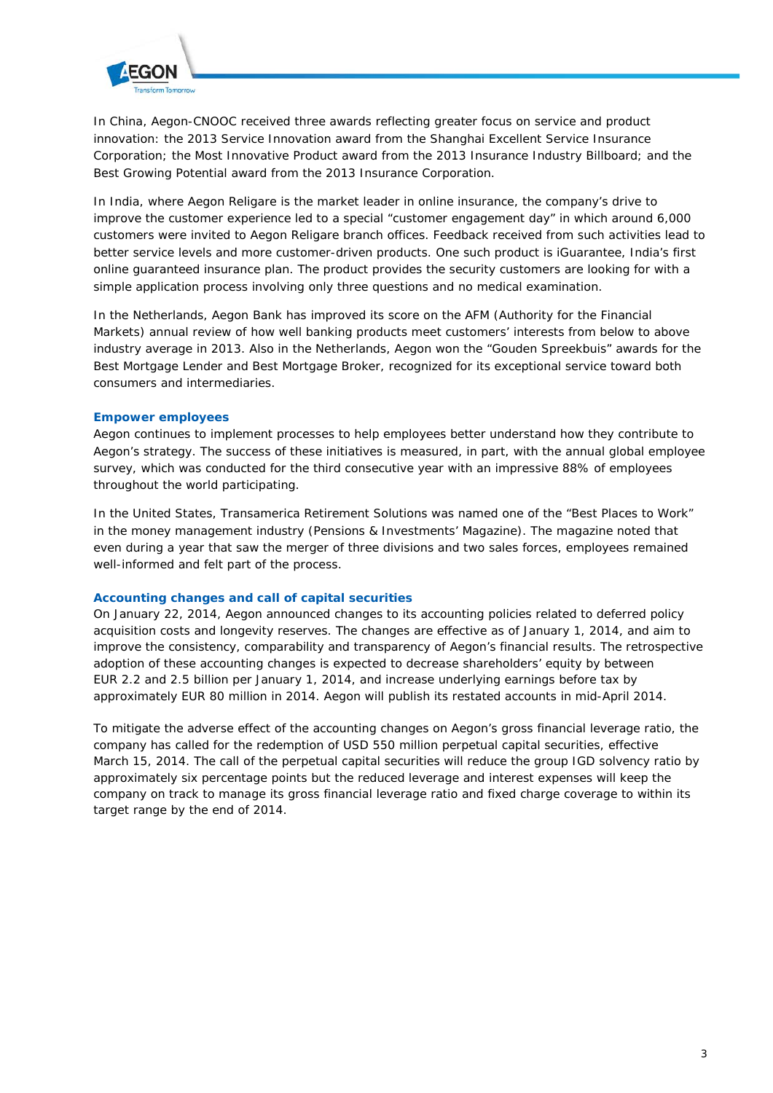

In China, Aegon-CNOOC received three awards reflecting greater focus on service and product innovation: the 2013 Service Innovation award from the Shanghai Excellent Service Insurance Corporation; the Most Innovative Product award from the 2013 Insurance Industry Billboard; and the Best Growing Potential award from the 2013 Insurance Corporation.

In India, where Aegon Religare is the market leader in online insurance, the company's drive to improve the customer experience led to a special "customer engagement day" in which around 6,000 customers were invited to Aegon Religare branch offices. Feedback received from such activities lead to better service levels and more customer-driven products. One such product is iGuarantee, India's first online guaranteed insurance plan. The product provides the security customers are looking for with a simple application process involving only three questions and no medical examination.

In the Netherlands, Aegon Bank has improved its score on the AFM (Authority for the Financial Markets) annual review of how well banking products meet customers' interests from below to above industry average in 2013. Also in the Netherlands, Aegon won the "Gouden Spreekbuis" awards for the Best Mortgage Lender and Best Mortgage Broker, recognized for its exceptional service toward both consumers and intermediaries.

# **Empower employees**

Aegon continues to implement processes to help employees better understand how they contribute to Aegon's strategy. The success of these initiatives is measured, in part, with the annual global employee survey, which was conducted for the third consecutive year with an impressive 88% of employees throughout the world participating.

In the United States, Transamerica Retirement Solutions was named one of the "Best Places to Work" in the money management industry (Pensions & Investments' Magazine). The magazine noted that even during a year that saw the merger of three divisions and two sales forces, employees remained well-informed and felt part of the process.

# **Accounting changes and call of capital securities**

On January 22, 2014, Aegon announced changes to its accounting policies related to deferred policy acquisition costs and longevity reserves. The changes are effective as of January 1, 2014, and aim to improve the consistency, comparability and transparency of Aegon's financial results. The retrospective adoption of these accounting changes is expected to decrease shareholders' equity by between EUR 2.2 and 2.5 billion per January 1, 2014, and increase underlying earnings before tax by approximately EUR 80 million in 2014. Aegon will publish its restated accounts in mid-April 2014.

To mitigate the adverse effect of the accounting changes on Aegon's gross financial leverage ratio, the company has called for the redemption of USD 550 million perpetual capital securities, effective March 15, 2014. The call of the perpetual capital securities will reduce the group IGD solvency ratio by approximately six percentage points but the reduced leverage and interest expenses will keep the company on track to manage its gross financial leverage ratio and fixed charge coverage to within its target range by the end of 2014.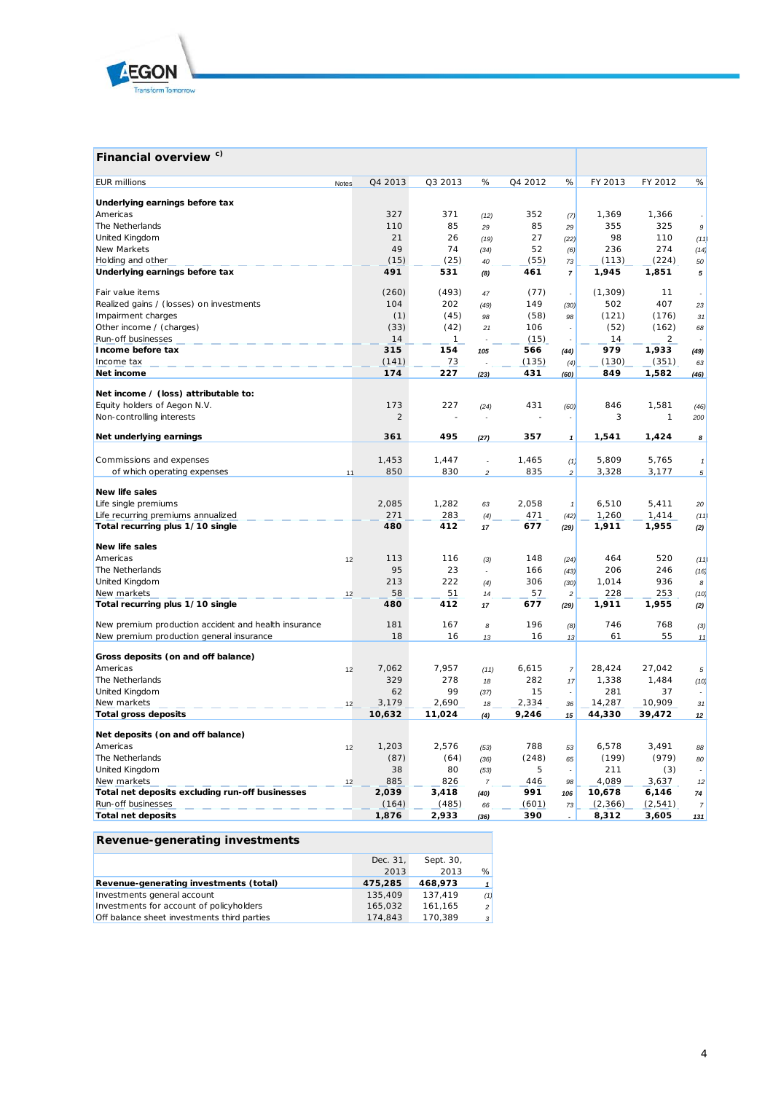

# **Financial overview c)**

| <b>EUR</b> millions                                                                              | Notes | Q4 2013   | Q3 2013      | %              | Q4 2012 | $\%$                     | FY 2013  | FY 2012   | %                        |
|--------------------------------------------------------------------------------------------------|-------|-----------|--------------|----------------|---------|--------------------------|----------|-----------|--------------------------|
|                                                                                                  |       |           |              |                |         |                          |          |           |                          |
| Underlying earnings before tax<br>Americas                                                       |       | 327       | 371          |                | 352     |                          | 1,369    | 1,366     |                          |
| The Netherlands                                                                                  |       | 110       | 85           | (12)           | 85      | (7)                      | 355      | 325       | $\mathfrak g$            |
| United Kingdom                                                                                   |       | 21        | 26           | 29             | 27      | 29                       | 98       | 110       |                          |
| New Markets                                                                                      |       | 49        | 74           | (19)<br>(34)   | 52      | (22)<br>(6)              | 236      | 274       | (11)<br>(14)             |
| Holding and other                                                                                |       | (15)      | (25)         | 40             | (55)    | 73                       | (113)    | (224)     | 50                       |
| Underlying earnings before tax                                                                   |       | 491       | 531          | (8)            | 461     | $\boldsymbol{7}$         | 1,945    | 1,851     | 5                        |
|                                                                                                  |       |           |              |                |         |                          |          |           |                          |
| Fair value items                                                                                 |       | (260)     | (493)        | 47             | (77)    | ÷,                       | (1, 309) | 11        |                          |
| Realized gains / (losses) on investments                                                         |       | 104       | 202          | (49)           | 149     | (30)                     | 502      | 407       | 23                       |
| Impairment charges                                                                               |       | (1)       | (45)         | 98             | (58)    | 98                       | (121)    | (176)     | 31                       |
| Other income / (charges)                                                                         |       | (33)      | (42)         | 21             | 106     |                          | (52)     | (162)     | 68                       |
| Run-off businesses                                                                               |       | 14        | $\mathbf{1}$ |                | (15)    |                          | 14       | 2         |                          |
| Income before tax                                                                                |       | 315       | 154          | 105            | 566     | (44)                     | 979      | 1,933     | (49)                     |
| Income tax                                                                                       |       | (141)     | 73           |                | (135)   | (4)                      | (130)    | (351)     | 63                       |
| Net income                                                                                       |       | 174       | 227          | (23)           | 431     | (60)                     | 849      | 1,582     | (46)                     |
| Net income / (loss) attributable to:                                                             |       |           |              |                |         |                          |          |           |                          |
| Equity holders of Aegon N.V.                                                                     |       | 173       | 227          | (24)           | 431     | (60)                     | 846      | 1,581     | (46)                     |
| Non-controlling interests                                                                        |       | 2         |              |                |         |                          | 3        | 1         | 200                      |
|                                                                                                  |       |           |              |                | 357     |                          |          |           |                          |
| Net underlying earnings                                                                          |       | 361       | 495          | (27)           |         | $\mathbf{1}$             | 1,541    | 1,424     | 8                        |
| Commissions and expenses                                                                         |       | 1,453     | 1,447        | ÷              | 1,465   | (1)                      | 5,809    | 5,765     | $\mathbf{1}$             |
| of which operating expenses                                                                      | 11    | 850       | 830          | $\overline{c}$ | 835     | $\overline{c}$           | 3,328    | 3,177     | 5                        |
|                                                                                                  |       |           |              |                |         |                          |          |           |                          |
| New life sales                                                                                   |       |           |              |                |         |                          |          |           |                          |
| Life single premiums                                                                             |       | 2,085     | 1,282        | 63             | 2,058   | $\pmb{\mathcal{I}}$      | 6,510    | 5,411     | 20                       |
| Life recurring premiums annualized                                                               |       | 271       | 283          | (4)            | 471     | (42)                     | 1,260    | 1,414     | (11)                     |
| Total recurring plus 1/10 single                                                                 |       | 480       | 412          | 17             | 677     | (29)                     | 1,911    | 1,955     | (2)                      |
| New life sales                                                                                   |       |           |              |                |         |                          |          |           |                          |
| Americas                                                                                         | 12    | 113       | 116          | (3)            | 148     | (24)                     | 464      | 520       | (11)                     |
| The Netherlands                                                                                  |       | 95        | 23           |                | 166     | (43)                     | 206      | 246       | (16)                     |
| United Kingdom                                                                                   |       | 213       | 222          | (4)            | 306     | (30)                     | 1.014    | 936       | 8                        |
| New markets                                                                                      | 12    | 58        | 51           | 14             | 57      | $\sqrt{2}$               | 228      | 253       | (10)                     |
| Total recurring plus 1/10 single                                                                 |       | 480       | 412          | 17             | 677     | (29)                     | 1,911    | 1,955     | (2)                      |
|                                                                                                  |       |           | 167          |                | 196     |                          | 746      |           |                          |
| New premium production accident and health insurance<br>New premium production general insurance |       | 181<br>18 | 16           | 8<br>13        | 16      | (8)<br>13                | 61       | 768<br>55 | (3)<br>11                |
|                                                                                                  |       |           |              |                |         |                          |          |           |                          |
| Gross deposits (on and off balance)                                                              |       |           |              |                |         |                          |          |           |                          |
| Americas                                                                                         | 12    | 7,062     | 7,957        | (11)           | 6,615   | $\overline{7}$           | 28,424   | 27,042    | $\sqrt{5}$               |
| The Netherlands                                                                                  |       | 329       | 278          | 18             | 282     | 17                       | 1,338    | 1,484     | (10)                     |
| United Kingdom                                                                                   |       | 62        | 99           | (37)           | 15      | $\overline{\phantom{a}}$ | 281      | 37        |                          |
| New markets                                                                                      | 12    | 3,179     | 2,690        | 18             | 2,334   | 36                       | 14,287   | 10,909    | 31                       |
| <b>Total gross deposits</b>                                                                      |       | 10,632    | 11,024       | (4)            | 9,246   | 15                       | 44,330   | 39,472    | 12                       |
| Net deposits (on and off balance)                                                                |       |           |              |                |         |                          |          |           |                          |
| Americas                                                                                         | 12    | 1,203     | 2,576        | (53)           | 788     | 53                       | 6,578    | 3,491     | 88                       |
| The Netherlands                                                                                  |       | (87)      | (64)         | (36)           | (248)   | 65                       | (199)    | (979)     | 80                       |
| United Kingdom                                                                                   |       | 38        | 80           | (53)           | 5       | $\overline{\phantom{a}}$ | 211      | (3)       | $\overline{\phantom{a}}$ |
| New markets                                                                                      | 12    | 885       | 826          | $\overline{7}$ | 446     | 98                       | 4,089    | 3,637     | 12                       |
| Total net deposits excluding run-off businesses                                                  |       | 2,039     | 3,418        | (40)           | 991     | 106                      | 10,678   | 6,146     | 74                       |
| Run-off businesses                                                                               |       | (164)     | (485)        | 66             | (601)   | 73                       | (2,366)  | (2, 541)  | $\overline{7}$           |
| <b>Total net deposits</b>                                                                        |       | 1,876     | 2,933        | (36)           | 390     | $\overline{a}$           | 8,312    | 3,605     | 131                      |

# **Revenue-generating investments**

|                                             | Dec. 31, | Sept. 30, |                |
|---------------------------------------------|----------|-----------|----------------|
|                                             | 2013     | 2013      | %              |
| Revenue-generating investments (total)      | 475,285  | 468,973   | $\mathbf{1}$   |
| Investments general account                 | 135,409  | 137.419   | (1)            |
| Investments for account of policyholders    | 165.032  | 161.165   | $\overline{2}$ |
| Off balance sheet investments third parties | 174.843  | 170.389   | 3              |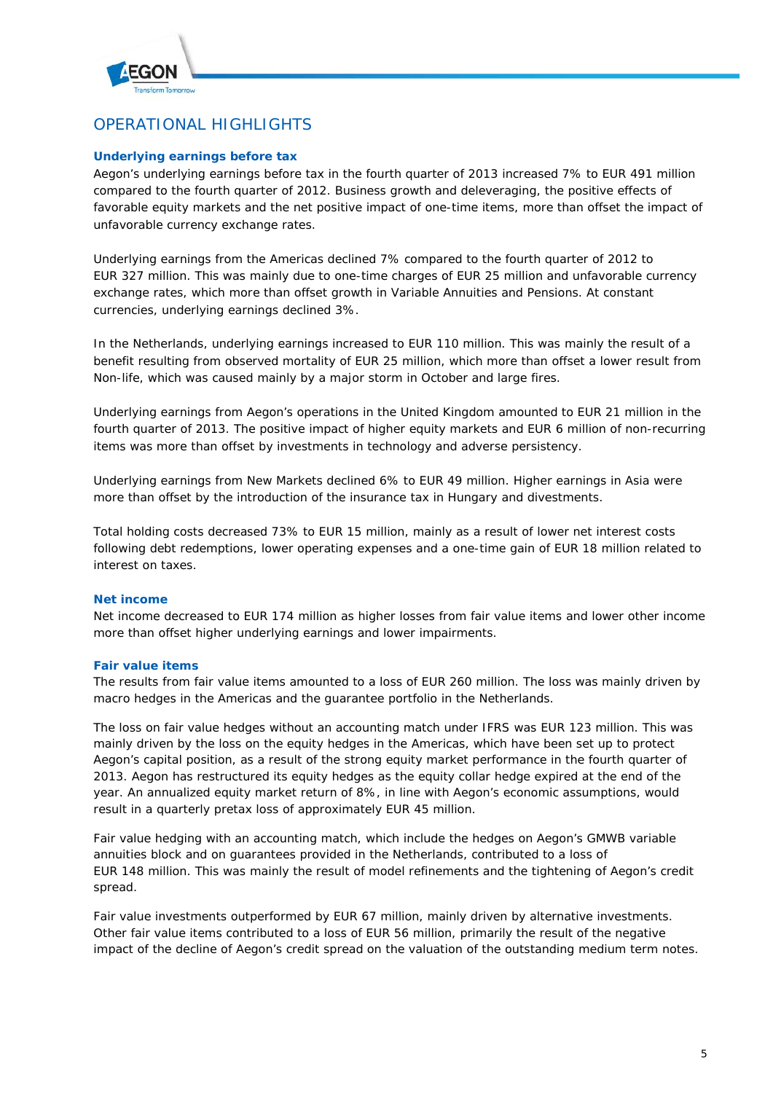

# OPERATIONAL HIGHLIGHTS

# **Underlying earnings before tax**

Aegon's underlying earnings before tax in the fourth quarter of 2013 increased 7% to EUR 491 million compared to the fourth quarter of 2012. Business growth and deleveraging, the positive effects of favorable equity markets and the net positive impact of one-time items, more than offset the impact of unfavorable currency exchange rates.

Underlying earnings from the Americas declined 7% compared to the fourth quarter of 2012 to EUR 327 million. This was mainly due to one-time charges of EUR 25 million and unfavorable currency exchange rates, which more than offset growth in Variable Annuities and Pensions. At constant currencies, underlying earnings declined 3%.

In the Netherlands, underlying earnings increased to EUR 110 million. This was mainly the result of a benefit resulting from observed mortality of EUR 25 million, which more than offset a lower result from Non-life, which was caused mainly by a major storm in October and large fires.

Underlying earnings from Aegon's operations in the United Kingdom amounted to EUR 21 million in the fourth quarter of 2013. The positive impact of higher equity markets and EUR 6 million of non-recurring items was more than offset by investments in technology and adverse persistency.

Underlying earnings from New Markets declined 6% to EUR 49 million. Higher earnings in Asia were more than offset by the introduction of the insurance tax in Hungary and divestments.

Total holding costs decreased 73% to EUR 15 million, mainly as a result of lower net interest costs following debt redemptions, lower operating expenses and a one-time gain of EUR 18 million related to interest on taxes.

# **Net income**

Net income decreased to EUR 174 million as higher losses from fair value items and lower other income more than offset higher underlying earnings and lower impairments.

# **Fair value items**

The results from fair value items amounted to a loss of EUR 260 million. The loss was mainly driven by macro hedges in the Americas and the guarantee portfolio in the Netherlands.

The loss on fair value hedges without an accounting match under IFRS was EUR 123 million. This was mainly driven by the loss on the equity hedges in the Americas, which have been set up to protect Aegon's capital position, as a result of the strong equity market performance in the fourth quarter of 2013. Aegon has restructured its equity hedges as the equity collar hedge expired at the end of the year. An annualized equity market return of 8%, in line with Aegon's economic assumptions, would result in a quarterly pretax loss of approximately EUR 45 million.

Fair value hedging with an accounting match, which include the hedges on Aegon's GMWB variable annuities block and on guarantees provided in the Netherlands, contributed to a loss of EUR 148 million. This was mainly the result of model refinements and the tightening of Aegon's credit spread.

Fair value investments outperformed by EUR 67 million, mainly driven by alternative investments. Other fair value items contributed to a loss of EUR 56 million, primarily the result of the negative impact of the decline of Aegon's credit spread on the valuation of the outstanding medium term notes.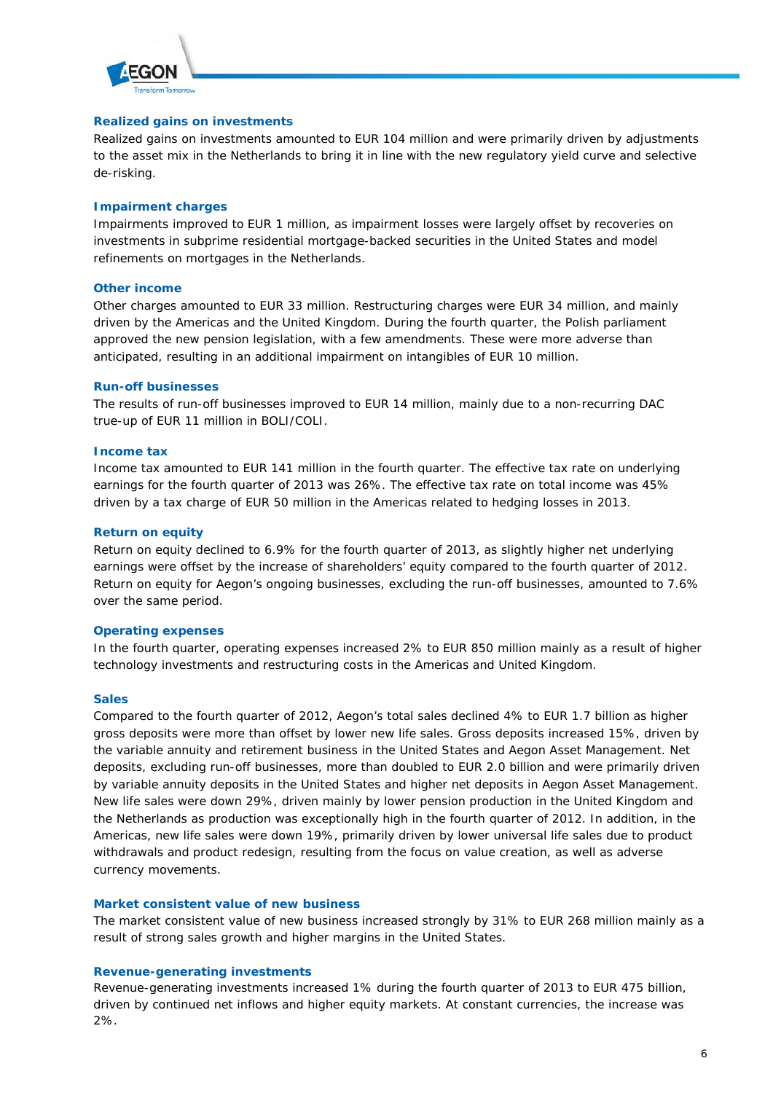

## **Realized gains on investments**

Realized gains on investments amounted to EUR 104 million and were primarily driven by adjustments to the asset mix in the Netherlands to bring it in line with the new regulatory yield curve and selective de-risking.

## **Impairment charges**

Impairments improved to EUR 1 million, as impairment losses were largely offset by recoveries on investments in subprime residential mortgage-backed securities in the United States and model refinements on mortgages in the Netherlands.

### **Other income**

Other charges amounted to EUR 33 million. Restructuring charges were EUR 34 million, and mainly driven by the Americas and the United Kingdom. During the fourth quarter, the Polish parliament approved the new pension legislation, with a few amendments. These were more adverse than anticipated, resulting in an additional impairment on intangibles of EUR 10 million.

### **Run-off businesses**

The results of run-off businesses improved to EUR 14 million, mainly due to a non-recurring DAC true-up of EUR 11 million in BOLI/COLI.

#### **Income tax**

Income tax amounted to EUR 141 million in the fourth quarter. The effective tax rate on underlying earnings for the fourth quarter of 2013 was 26%. The effective tax rate on total income was 45% driven by a tax charge of EUR 50 million in the Americas related to hedging losses in 2013.

### **Return on equity**

Return on equity declined to 6.9% for the fourth quarter of 2013, as slightly higher net underlying earnings were offset by the increase of shareholders' equity compared to the fourth quarter of 2012. Return on equity for Aegon's ongoing businesses, excluding the run-off businesses, amounted to 7.6% over the same period.

### **Operating expenses**

In the fourth quarter, operating expenses increased 2% to EUR 850 million mainly as a result of higher technology investments and restructuring costs in the Americas and United Kingdom.

#### **Sales**

Compared to the fourth quarter of 2012, Aegon's total sales declined 4% to EUR 1.7 billion as higher gross deposits were more than offset by lower new life sales. Gross deposits increased 15%, driven by the variable annuity and retirement business in the United States and Aegon Asset Management. Net deposits, excluding run-off businesses, more than doubled to EUR 2.0 billion and were primarily driven by variable annuity deposits in the United States and higher net deposits in Aegon Asset Management. New life sales were down 29%, driven mainly by lower pension production in the United Kingdom and the Netherlands as production was exceptionally high in the fourth quarter of 2012. In addition, in the Americas, new life sales were down 19%, primarily driven by lower universal life sales due to product withdrawals and product redesign, resulting from the focus on value creation, as well as adverse currency movements.

## **Market consistent value of new business**

The market consistent value of new business increased strongly by 31% to EUR 268 million mainly as a result of strong sales growth and higher margins in the United States.

#### **Revenue-generating investments**

Revenue-generating investments increased 1% during the fourth quarter of 2013 to EUR 475 billion, driven by continued net inflows and higher equity markets. At constant currencies, the increase was 2%.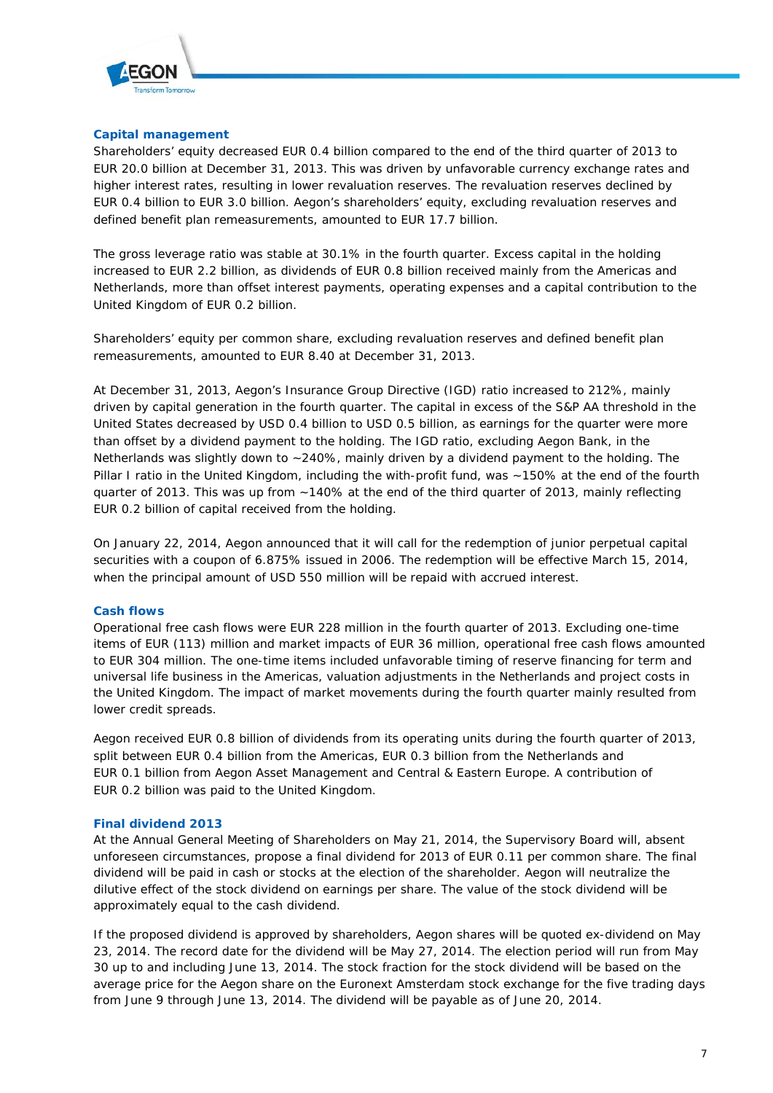

# **Capital management**

Shareholders' equity decreased EUR 0.4 billion compared to the end of the third quarter of 2013 to EUR 20.0 billion at December 31, 2013. This was driven by unfavorable currency exchange rates and higher interest rates, resulting in lower revaluation reserves. The revaluation reserves declined by EUR 0.4 billion to EUR 3.0 billion. Aegon's shareholders' equity, excluding revaluation reserves and defined benefit plan remeasurements, amounted to EUR 17.7 billion.

The gross leverage ratio was stable at 30.1% in the fourth quarter. Excess capital in the holding increased to EUR 2.2 billion, as dividends of EUR 0.8 billion received mainly from the Americas and Netherlands, more than offset interest payments, operating expenses and a capital contribution to the United Kingdom of EUR 0.2 billion.

Shareholders' equity per common share, excluding revaluation reserves and defined benefit plan remeasurements, amounted to EUR 8.40 at December 31, 2013.

At December 31, 2013, Aegon's Insurance Group Directive (IGD) ratio increased to 212%, mainly driven by capital generation in the fourth quarter. The capital in excess of the S&P AA threshold in the United States decreased by USD 0.4 billion to USD 0.5 billion, as earnings for the quarter were more than offset by a dividend payment to the holding. The IGD ratio, excluding Aegon Bank, in the Netherlands was slightly down to ~240%, mainly driven by a dividend payment to the holding. The Pillar I ratio in the United Kingdom, including the with-profit fund, was ~150% at the end of the fourth quarter of 2013. This was up from ~140% at the end of the third quarter of 2013, mainly reflecting EUR 0.2 billion of capital received from the holding.

On January 22, 2014, Aegon announced that it will call for the redemption of junior perpetual capital securities with a coupon of 6.875% issued in 2006. The redemption will be effective March 15, 2014, when the principal amount of USD 550 million will be repaid with accrued interest.

# **Cash flows**

Operational free cash flows were EUR 228 million in the fourth quarter of 2013. Excluding one-time items of EUR (113) million and market impacts of EUR 36 million, operational free cash flows amounted to EUR 304 million. The one-time items included unfavorable timing of reserve financing for term and universal life business in the Americas, valuation adjustments in the Netherlands and project costs in the United Kingdom. The impact of market movements during the fourth quarter mainly resulted from lower credit spreads.

Aegon received EUR 0.8 billion of dividends from its operating units during the fourth quarter of 2013, split between EUR 0.4 billion from the Americas, EUR 0.3 billion from the Netherlands and EUR 0.1 billion from Aegon Asset Management and Central & Eastern Europe. A contribution of EUR 0.2 billion was paid to the United Kingdom.

#### **Final dividend 2013**

At the Annual General Meeting of Shareholders on May 21, 2014, the Supervisory Board will, absent unforeseen circumstances, propose a final dividend for 2013 of EUR 0.11 per common share. The final dividend will be paid in cash or stocks at the election of the shareholder. Aegon will neutralize the dilutive effect of the stock dividend on earnings per share. The value of the stock dividend will be approximately equal to the cash dividend.

If the proposed dividend is approved by shareholders, Aegon shares will be quoted ex-dividend on May 23, 2014. The record date for the dividend will be May 27, 2014. The election period will run from May 30 up to and including June 13, 2014. The stock fraction for the stock dividend will be based on the average price for the Aegon share on the Euronext Amsterdam stock exchange for the five trading days from June 9 through June 13, 2014. The dividend will be payable as of June 20, 2014.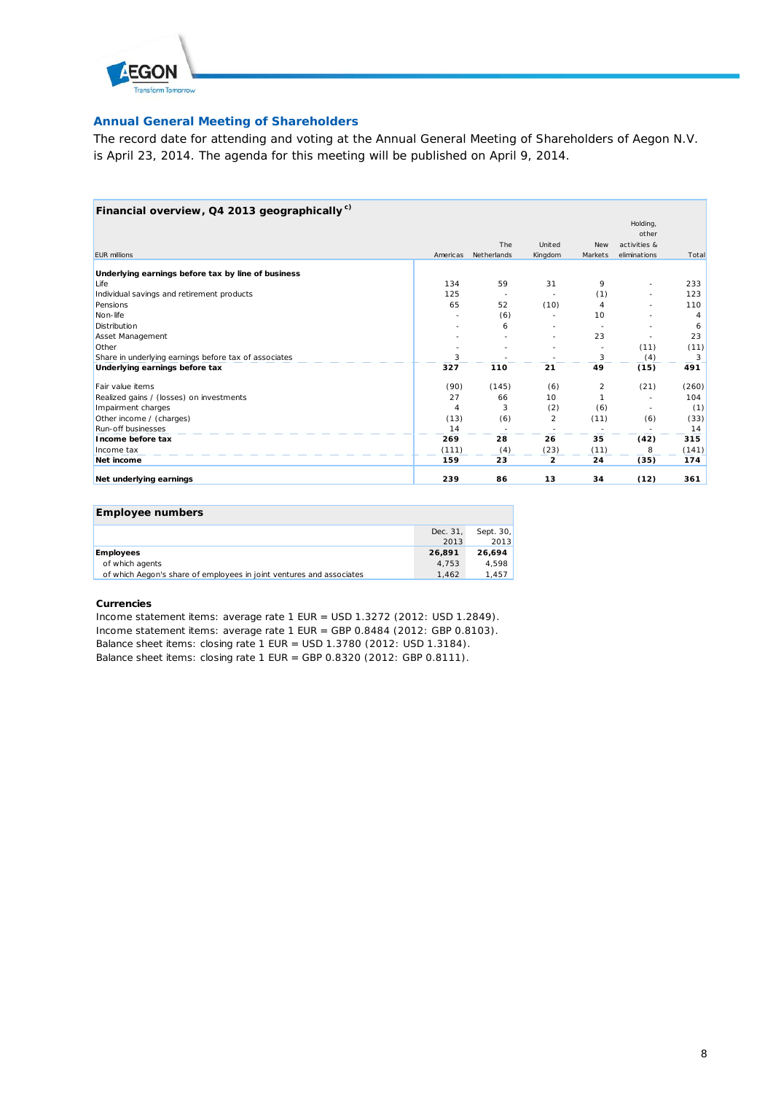

# **Annual General Meeting of Shareholders**

The record date for attending and voting at the Annual General Meeting of Shareholders of Aegon N.V. is April 23, 2014. The agenda for this meeting will be published on April 9, 2014.

| Financial overview, Q4 2013 geographically <sup>c)</sup> |          |             |         |            |              |       |
|----------------------------------------------------------|----------|-------------|---------|------------|--------------|-------|
|                                                          |          |             |         |            | Holding,     |       |
|                                                          |          |             |         |            | other        |       |
|                                                          |          | The         | United  | <b>New</b> | activities & |       |
| <b>EUR millions</b>                                      | Americas | Netherlands | Kingdom | Markets    | eliminations | Total |
| Underlying earnings before tax by line of business       |          |             |         |            |              |       |
| Life                                                     | 134      | 59          | 31      | 9          |              | 233   |
| Individual savings and retirement products               | 125      |             |         | (1)        |              | 123   |
| Pensions                                                 | 65       | 52          | (10)    | 4          |              | 110   |
| Non-life                                                 |          | (6)         |         | 10         |              | 4     |
| Distribution                                             |          | 6           |         |            |              | 6     |
| Asset Management                                         |          |             |         | 23         |              | 23    |
| Other                                                    |          |             |         |            | (11)         | (11)  |
| Share in underlying earnings before tax of associates    | 3        |             |         | 3          | (4)          | 3     |
| Underlying earnings before tax                           | 327      | 110         | 21      | 49         | (15)         | 491   |
| Fair value items                                         | (90)     | (145)       | (6)     | 2          | (21)         | (260) |
| Realized gains / (losses) on investments                 | 27       | 66          | 10      |            |              | 104   |
| Impairment charges                                       | 4        | 3           | (2)     | (6)        |              | (1)   |
| Other income / (charges)                                 | (13)     | (6)         | 2       | (11)       | (6)          | (33)  |
| <b>Run-off businesses</b>                                | 14       |             |         |            |              | 14    |
| Income before tax                                        | 269      | 28          | 26      | 35         | (42)         | 315   |
| Income tax                                               | (111)    | (4)         | (23)    | (11)       |              | (141) |
| Net income                                               | 159      | 23          | 2       | 24         | (35)         | 174   |
| Net underlying earnings                                  | 239      | 86          | 13      | 34         | (12)         | 361   |

| <b>Employee numbers</b>                                              |          |           |
|----------------------------------------------------------------------|----------|-----------|
|                                                                      | Dec. 31, | Sept. 30, |
|                                                                      | 2013     | 2013      |
| <b>Employees</b>                                                     | 26.891   | 26.694    |
| of which agents                                                      | 4.753    | 4.598     |
| of which Aegon's share of employees in joint ventures and associates | 1.462    | 1.457     |

#### **Currencies**

Income statement items: average rate 1 EUR = USD 1.3272 (2012: USD 1.2849). Income statement items: average rate 1 EUR = GBP 0.8484 (2012: GBP 0.8103). Balance sheet items: closing rate 1 EUR = USD 1.3780 (2012: USD 1.3184). Balance sheet items: closing rate 1 EUR = GBP 0.8320 (2012: GBP 0.8111).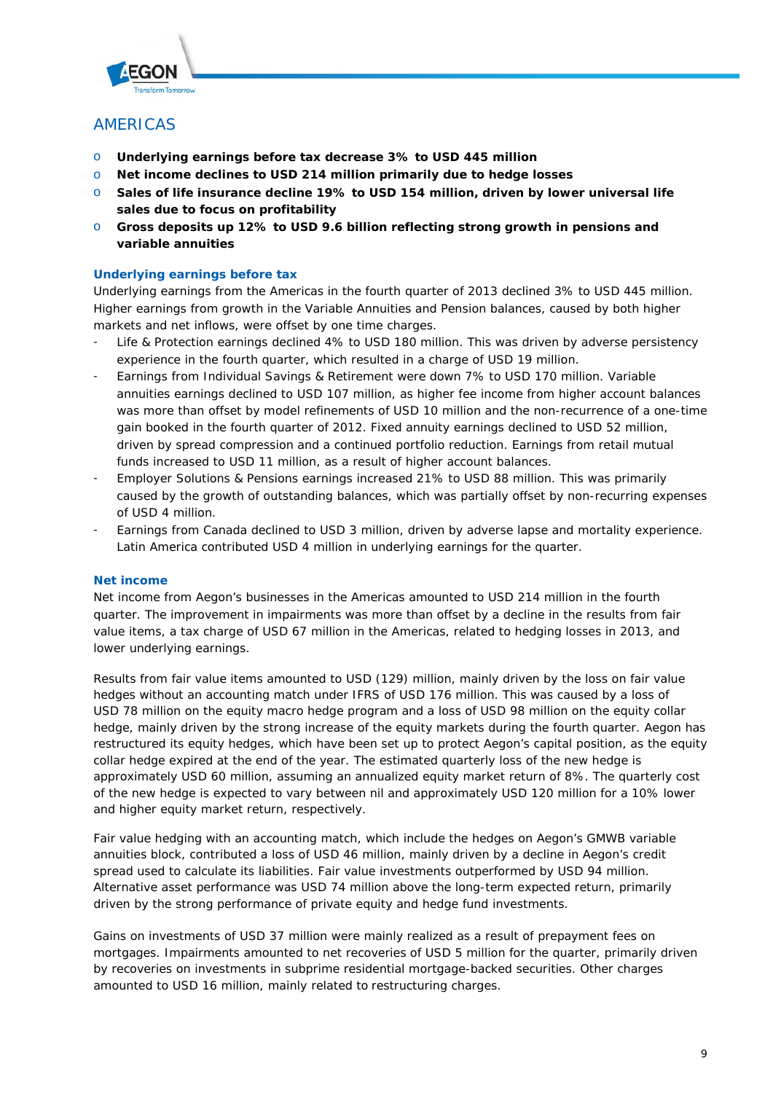

# AMERICAS

- o **Underlying earnings before tax decrease 3% to USD 445 million**
- o **Net income declines to USD 214 million primarily due to hedge losses**
- o **Sales of life insurance decline 19% to USD 154 million, driven by lower universal life sales due to focus on profitability**
- o **Gross deposits up 12% to USD 9.6 billion reflecting strong growth in pensions and variable annuities**

# **Underlying earnings before tax**

Underlying earnings from the Americas in the fourth quarter of 2013 declined 3% to USD 445 million. Higher earnings from growth in the Variable Annuities and Pension balances, caused by both higher markets and net inflows, were offset by one time charges.

- Life & Protection earnings declined 4% to USD 180 million. This was driven by adverse persistency experience in the fourth quarter, which resulted in a charge of USD 19 million.
- Earnings from Individual Savings & Retirement were down 7% to USD 170 million. Variable annuities earnings declined to USD 107 million, as higher fee income from higher account balances was more than offset by model refinements of USD 10 million and the non-recurrence of a one-time gain booked in the fourth quarter of 2012. Fixed annuity earnings declined to USD 52 million, driven by spread compression and a continued portfolio reduction. Earnings from retail mutual funds increased to USD 11 million, as a result of higher account balances.
- Employer Solutions & Pensions earnings increased 21% to USD 88 million. This was primarily caused by the growth of outstanding balances, which was partially offset by non-recurring expenses of USD 4 million.
- Earnings from Canada declined to USD 3 million, driven by adverse lapse and mortality experience. Latin America contributed USD 4 million in underlying earnings for the quarter.

# **Net income**

Net income from Aegon's businesses in the Americas amounted to USD 214 million in the fourth quarter. The improvement in impairments was more than offset by a decline in the results from fair value items, a tax charge of USD 67 million in the Americas, related to hedging losses in 2013, and lower underlying earnings.

Results from fair value items amounted to USD (129) million, mainly driven by the loss on fair value hedges without an accounting match under IFRS of USD 176 million. This was caused by a loss of USD 78 million on the equity macro hedge program and a loss of USD 98 million on the equity collar hedge, mainly driven by the strong increase of the equity markets during the fourth quarter. Aegon has restructured its equity hedges, which have been set up to protect Aegon's capital position, as the equity collar hedge expired at the end of the year. The estimated quarterly loss of the new hedge is approximately USD 60 million, assuming an annualized equity market return of 8%. The quarterly cost of the new hedge is expected to vary between nil and approximately USD 120 million for a 10% lower and higher equity market return, respectively.

Fair value hedging with an accounting match, which include the hedges on Aegon's GMWB variable annuities block, contributed a loss of USD 46 million, mainly driven by a decline in Aegon's credit spread used to calculate its liabilities. Fair value investments outperformed by USD 94 million. Alternative asset performance was USD 74 million above the long-term expected return, primarily driven by the strong performance of private equity and hedge fund investments.

Gains on investments of USD 37 million were mainly realized as a result of prepayment fees on mortgages. Impairments amounted to net recoveries of USD 5 million for the quarter, primarily driven by recoveries on investments in subprime residential mortgage-backed securities. Other charges amounted to USD 16 million, mainly related to restructuring charges.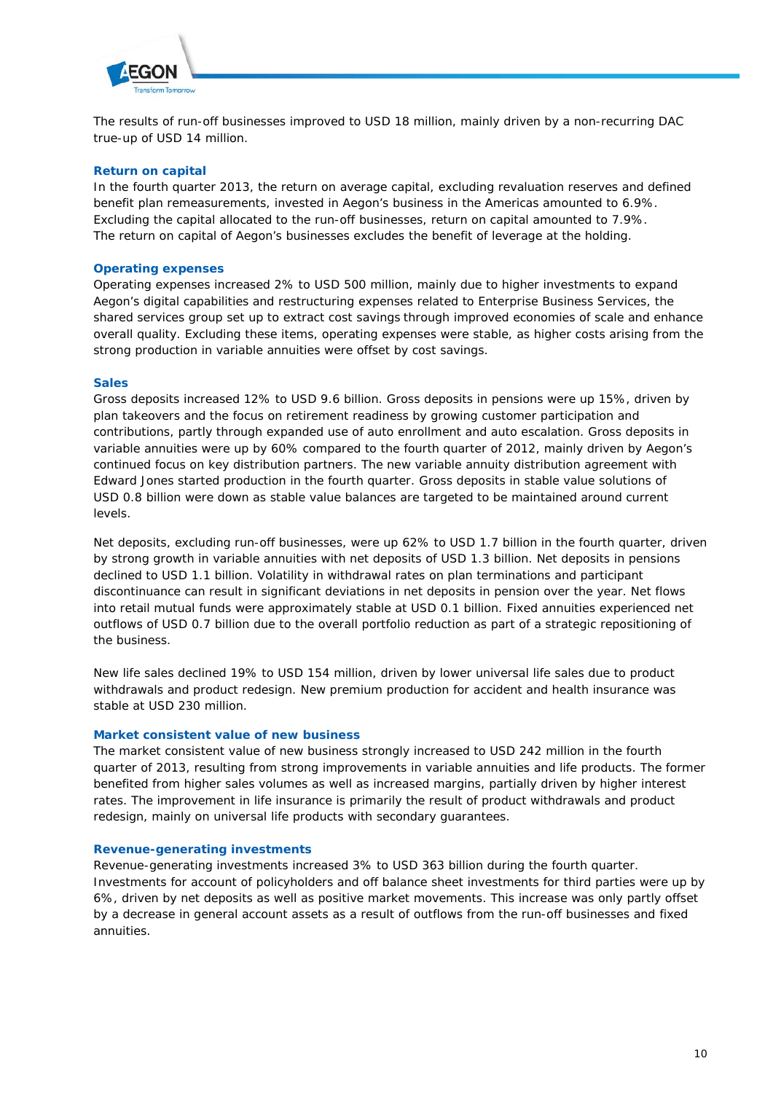

The results of run-off businesses improved to USD 18 million, mainly driven by a non-recurring DAC true-up of USD 14 million.

# **Return on capital**

In the fourth quarter 2013, the return on average capital, excluding revaluation reserves and defined benefit plan remeasurements, invested in Aegon's business in the Americas amounted to 6.9%. Excluding the capital allocated to the run-off businesses, return on capital amounted to 7.9%. The return on capital of Aegon's businesses excludes the benefit of leverage at the holding.

# **Operating expenses**

Operating expenses increased 2% to USD 500 million, mainly due to higher investments to expand Aegon's digital capabilities and restructuring expenses related to Enterprise Business Services, the shared services group set up to extract cost savings through improved economies of scale and enhance overall quality. Excluding these items, operating expenses were stable, as higher costs arising from the strong production in variable annuities were offset by cost savings.

### **Sales**

Gross deposits increased 12% to USD 9.6 billion. Gross deposits in pensions were up 15%, driven by plan takeovers and the focus on retirement readiness by growing customer participation and contributions, partly through expanded use of auto enrollment and auto escalation. Gross deposits in variable annuities were up by 60% compared to the fourth quarter of 2012, mainly driven by Aegon's continued focus on key distribution partners. The new variable annuity distribution agreement with Edward Jones started production in the fourth quarter. Gross deposits in stable value solutions of USD 0.8 billion were down as stable value balances are targeted to be maintained around current levels.

Net deposits, excluding run-off businesses, were up 62% to USD 1.7 billion in the fourth quarter, driven by strong growth in variable annuities with net deposits of USD 1.3 billion. Net deposits in pensions declined to USD 1.1 billion. Volatility in withdrawal rates on plan terminations and participant discontinuance can result in significant deviations in net deposits in pension over the year. Net flows into retail mutual funds were approximately stable at USD 0.1 billion. Fixed annuities experienced net outflows of USD 0.7 billion due to the overall portfolio reduction as part of a strategic repositioning of the business.

New life sales declined 19% to USD 154 million, driven by lower universal life sales due to product withdrawals and product redesign. New premium production for accident and health insurance was stable at USD 230 million.

#### **Market consistent value of new business**

The market consistent value of new business strongly increased to USD 242 million in the fourth quarter of 2013, resulting from strong improvements in variable annuities and life products. The former benefited from higher sales volumes as well as increased margins, partially driven by higher interest rates. The improvement in life insurance is primarily the result of product withdrawals and product redesign, mainly on universal life products with secondary guarantees.

#### **Revenue-generating investments**

Revenue-generating investments increased 3% to USD 363 billion during the fourth quarter. Investments for account of policyholders and off balance sheet investments for third parties were up by 6%, driven by net deposits as well as positive market movements. This increase was only partly offset by a decrease in general account assets as a result of outflows from the run-off businesses and fixed annuities.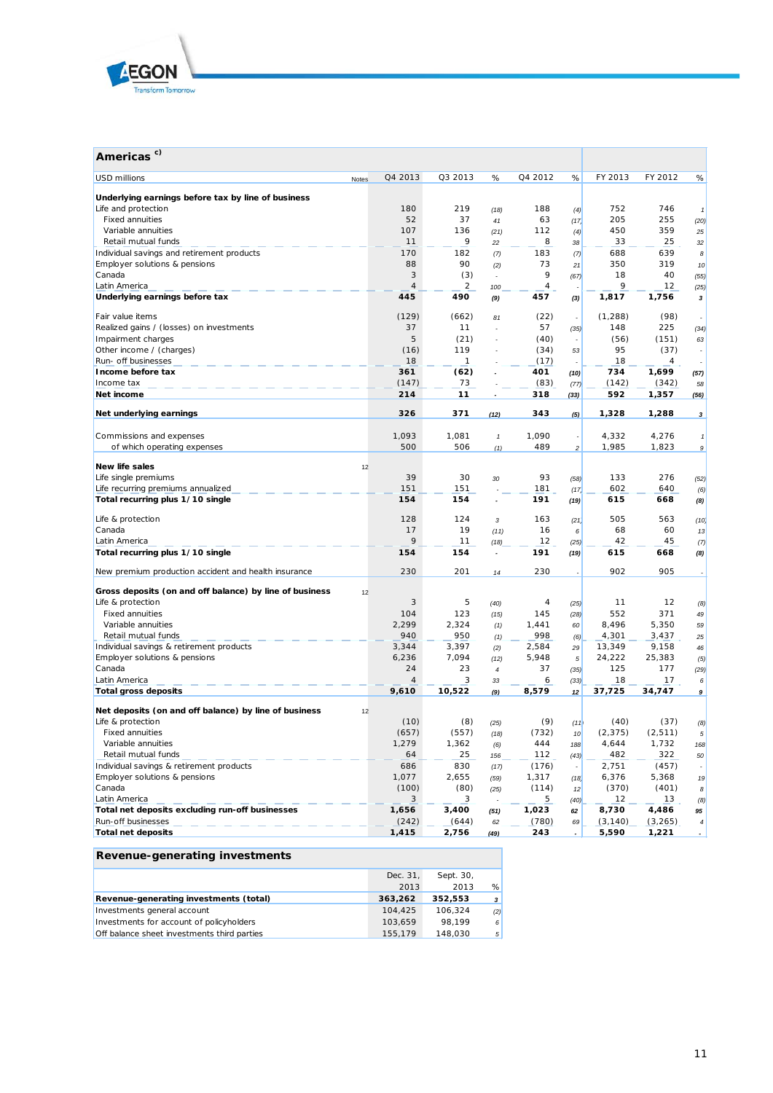

| Americas <sup>c)</sup>                                  |       |                |              |                            |         |                |          |          |                 |
|---------------------------------------------------------|-------|----------------|--------------|----------------------------|---------|----------------|----------|----------|-----------------|
| <b>USD millions</b>                                     | Notes | Q4 2013        | Q3 2013      | %                          | Q4 2012 | %              | FY 2013  | FY 2012  | %               |
| Underlying earnings before tax by line of business      |       |                |              |                            |         |                |          |          |                 |
| Life and protection                                     |       | 180            | 219          | (18)                       | 188     | (4)            | 752      | 746      | $\mathbf{1}$    |
| <b>Fixed annuities</b>                                  |       | 52             | 37           | 41                         | 63      | (17)           | 205      | 255      | (20)            |
| Variable annuities                                      |       | 107            | 136          | (21)                       | 112     | (4)            | 450      | 359      | 25              |
| Retail mutual funds                                     |       | 11             | 9            | 22                         | 8       | 38             | 33       | 25       | 32              |
| Individual savings and retirement products              |       | 170            | 182          | (7)                        | 183     | (7)            | 688      | 639      | 8               |
| Employer solutions & pensions                           |       | 88             | 90           | (2)                        | 73      | 21             | 350      | 319      | 10 <sup>°</sup> |
| Canada                                                  |       | 3              | (3)          | $\overline{\phantom{a}}$   | 9       | (67)           | 18       | 40       | (55)            |
| Latin America                                           |       | $\overline{4}$ | 2            | 100                        | 4       |                | 9        | 12       | (25)            |
| Underlying earnings before tax                          |       | 445            | 490          | (9)                        | 457     | (3)            | 1,817    | 1,756    | 3               |
| Fair value items                                        |       | (129)          | (662)        | 81                         | (22)    |                | (1,288)  | (98)     |                 |
| Realized gains / (losses) on investments                |       | 37             | 11           | ÷,                         | 57      | (35)           | 148      | 225      | (34)            |
| Impairment charges                                      |       | 5              | (21)         | $\overline{a}$             | (40)    |                | (56)     | (151)    | 63              |
| Other income / (charges)                                |       | (16)           | 119          |                            | (34)    | 53             | 95       | (37)     |                 |
| Run- off businesses                                     |       | 18             | $\mathbf{1}$ |                            | (17)    |                | 18       | 4        |                 |
| Income before tax                                       |       | 361            | (62)         |                            | 401     | (10)           | 734      | 1,699    | (57)            |
| Income tax                                              |       | (147)          | 73           |                            | (83)    | (77)           | (142)    | (342)    | 58              |
| Net income                                              |       | 214            | 11           |                            | 318     | (33)           | 592      | 1,357    | (56)            |
| Net underlying earnings                                 |       | 326            | 371          | (12)                       | 343     | (5)            | 1,328    | 1,288    | 3               |
|                                                         |       |                |              |                            |         |                |          |          |                 |
| Commissions and expenses                                |       | 1,093          | 1,081        | $\boldsymbol{\mathcal{I}}$ | 1,090   |                | 4,332    | 4,276    | $\mathbf{1}$    |
| of which operating expenses                             |       | 500            | 506          | (1)                        | 489     | $\overline{c}$ | 1,985    | 1,823    | 9               |
| New life sales                                          | 12    |                |              |                            |         |                |          |          |                 |
| Life single premiums                                    |       | 39             | 30           | 30                         | 93      | (58)           | 133      | 276      | (52)            |
| Life recurring premiums annualized                      |       | 151            | 151          |                            | 181     | (17)           | 602      | 640      | (6)             |
| Total recurring plus 1/10 single                        |       | 154            | 154          | $\overline{\phantom{a}}$   | 191     | (19)           | 615      | 668      | (8)             |
| Life & protection                                       |       | 128            | 124          | 3                          | 163     | (21)           | 505      | 563      | (10)            |
| Canada                                                  |       | 17             | 19           | (11)                       | 16      | 6              | 68       | 60       | 13              |
| Latin America                                           |       | 9              | 11           | (18)                       | 12      | (25)           | 42       | 45       | (7)             |
| Total recurring plus 1/10 single                        |       | 154            | 154          | $\overline{\phantom{a}}$   | 191     | (19)           | 615      | 668      | (8)             |
| New premium production accident and health insurance    |       | 230            | 201          | 14                         | 230     |                | 902      | 905      |                 |
| Gross deposits (on and off balance) by line of business | 12    |                |              |                            |         |                |          |          |                 |
| Life & protection                                       |       | 3              | 5            | (40)                       | 4       | (25)           | 11       | 12       | (8)             |
| <b>Fixed annuities</b>                                  |       | 104            | 123          | (15)                       | 145     | (28)           | 552      | 371      | 49              |
| Variable annuities                                      |       | 2,299          | 2,324        | (1)                        | 1,441   | 60             | 8,496    | 5,350    | 59              |
| Retail mutual funds                                     |       | 940            | 950          | (1)                        | 998     | (6)            | 4,301    | 3,437    | 25              |
| Individual savings & retirement products                |       | 3,344          | 3,397        | (2)                        | 2,584   | 29             | 13,349   | 9,158    | 46              |
| Employer solutions & pensions                           |       | 6,236          | 7,094        | (12)                       | 5,948   | 5              | 24,222   | 25,383   | (5)             |
| Canada                                                  |       | 24             | 23           | $\overline{4}$             | 37      | (35)           | 125      | 177      | (29)            |
| Latin America                                           |       | 4              | 3            | 33                         | 6       | (33)           | 18       | 17       | 6               |
| <b>Total gross deposits</b>                             |       | 9,610          | 10,522       | (9)                        | 8,579   | 12             | 37,725   | 34,747   | 9               |
| Net deposits (on and off balance) by line of business   | 12    |                |              |                            |         |                |          |          |                 |
| Life & protection                                       |       | (10)           | (8)          | (25)                       | (9)     | (11)           | (40)     | (37)     | (8)             |
| <b>Fixed annuities</b>                                  |       | (657)          | (557)        | (18)                       | (732)   | 10             | (2, 375) | (2, 511) | 5               |
| Variable annuities                                      |       | 1,279          | 1,362        | (6)                        | 444     | 188            | 4,644    | 1,732    | 168             |
| Retail mutual funds                                     |       | 64             | 25           | 156                        | 112     | (43)           | 482      | 322      | 50              |
| Individual savings & retirement products                |       | 686            | 830          | (17)                       | (176)   |                | 2,751    | (457)    |                 |
| Employer solutions & pensions                           |       | 1,077          | 2,655        | (59)                       | 1,317   | (18)           | 6,376    | 5,368    | 19              |
| Canada                                                  |       | (100)          | (80)         | (25)                       | (114)   | 12             | (370)    | (401)    | 8               |
| Latin America                                           |       | 3              | 3            |                            | 5       | (40)           | 12       | 13       | (8)             |
| Total net deposits excluding run-off businesses         |       | 1,656          | 3,400        | (51)                       | 1,023   | 62             | 8,730    | 4,486    | 95              |
| Run-off businesses                                      |       | (242)          | (644)        | 62                         | (780)   | 69             | (3, 140) | (3,265)  | $\pmb{4}$       |
| <b>Total net deposits</b>                               |       | 1,415          | 2,756        | (49)                       | 243     |                | 5,590    | 1,221    |                 |

# **Revenue-generating investments**

|                                             | Dec. 31, | Sept. 30, |              |
|---------------------------------------------|----------|-----------|--------------|
|                                             | 2013     | 2013      | %            |
| Revenue-generating investments (total)      | 363,262  | 352.553   | $\mathbf{3}$ |
| Investments general account                 | 104.425  | 106.324   | (2)          |
| Investments for account of policyholders    | 103.659  | 98.199    | 6            |
| Off balance sheet investments third parties | 155.179  | 148.030   | 5            |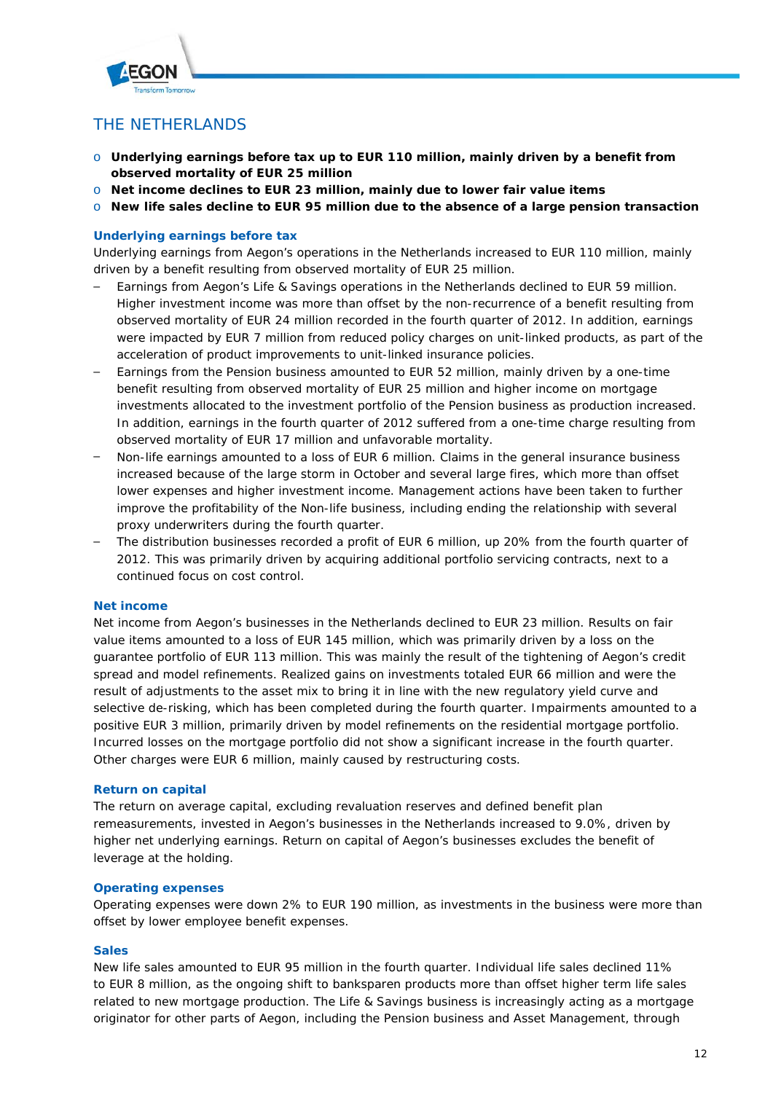

# THE NETHERLANDS

- o **Underlying earnings before tax up to EUR 110 million, mainly driven by a benefit from observed mortality of EUR 25 million**
- o **Net income declines to EUR 23 million, mainly due to lower fair value items**
- o **New life sales decline to EUR 95 million due to the absence of a large pension transaction**

# **Underlying earnings before tax**

Underlying earnings from Aegon's operations in the Netherlands increased to EUR 110 million, mainly driven by a benefit resulting from observed mortality of EUR 25 million.

- Earnings from Aegon's Life & Savings operations in the Netherlands declined to EUR 59 million. Higher investment income was more than offset by the non-recurrence of a benefit resulting from observed mortality of EUR 24 million recorded in the fourth quarter of 2012. In addition, earnings were impacted by EUR 7 million from reduced policy charges on unit-linked products, as part of the acceleration of product improvements to unit-linked insurance policies.
- Earnings from the Pension business amounted to EUR 52 million, mainly driven by a one-time benefit resulting from observed mortality of EUR 25 million and higher income on mortgage investments allocated to the investment portfolio of the Pension business as production increased. In addition, earnings in the fourth quarter of 2012 suffered from a one-time charge resulting from observed mortality of EUR 17 million and unfavorable mortality.
- Non-life earnings amounted to a loss of EUR 6 million. Claims in the general insurance business increased because of the large storm in October and several large fires, which more than offset lower expenses and higher investment income. Management actions have been taken to further improve the profitability of the Non-life business, including ending the relationship with several proxy underwriters during the fourth quarter.
- The distribution businesses recorded a profit of EUR 6 million, up 20% from the fourth quarter of 2012. This was primarily driven by acquiring additional portfolio servicing contracts, next to a continued focus on cost control.

# **Net income**

Net income from Aegon's businesses in the Netherlands declined to EUR 23 million. Results on fair value items amounted to a loss of EUR 145 million, which was primarily driven by a loss on the guarantee portfolio of EUR 113 million. This was mainly the result of the tightening of Aegon's credit spread and model refinements. Realized gains on investments totaled EUR 66 million and were the result of adjustments to the asset mix to bring it in line with the new regulatory yield curve and selective de-risking, which has been completed during the fourth quarter. Impairments amounted to a positive EUR 3 million, primarily driven by model refinements on the residential mortgage portfolio. Incurred losses on the mortgage portfolio did not show a significant increase in the fourth quarter. Other charges were EUR 6 million, mainly caused by restructuring costs.

# **Return on capital**

The return on average capital, excluding revaluation reserves and defined benefit plan remeasurements, invested in Aegon's businesses in the Netherlands increased to 9.0%, driven by higher net underlying earnings. Return on capital of Aegon's businesses excludes the benefit of leverage at the holding.

# **Operating expenses**

Operating expenses were down 2% to EUR 190 million, as investments in the business were more than offset by lower employee benefit expenses.

# **Sales**

New life sales amounted to EUR 95 million in the fourth quarter. Individual life sales declined 11% to EUR 8 million, as the ongoing shift to *banksparen* products more than offset higher term life sales related to new mortgage production. The Life & Savings business is increasingly acting as a mortgage originator for other parts of Aegon, including the Pension business and Asset Management, through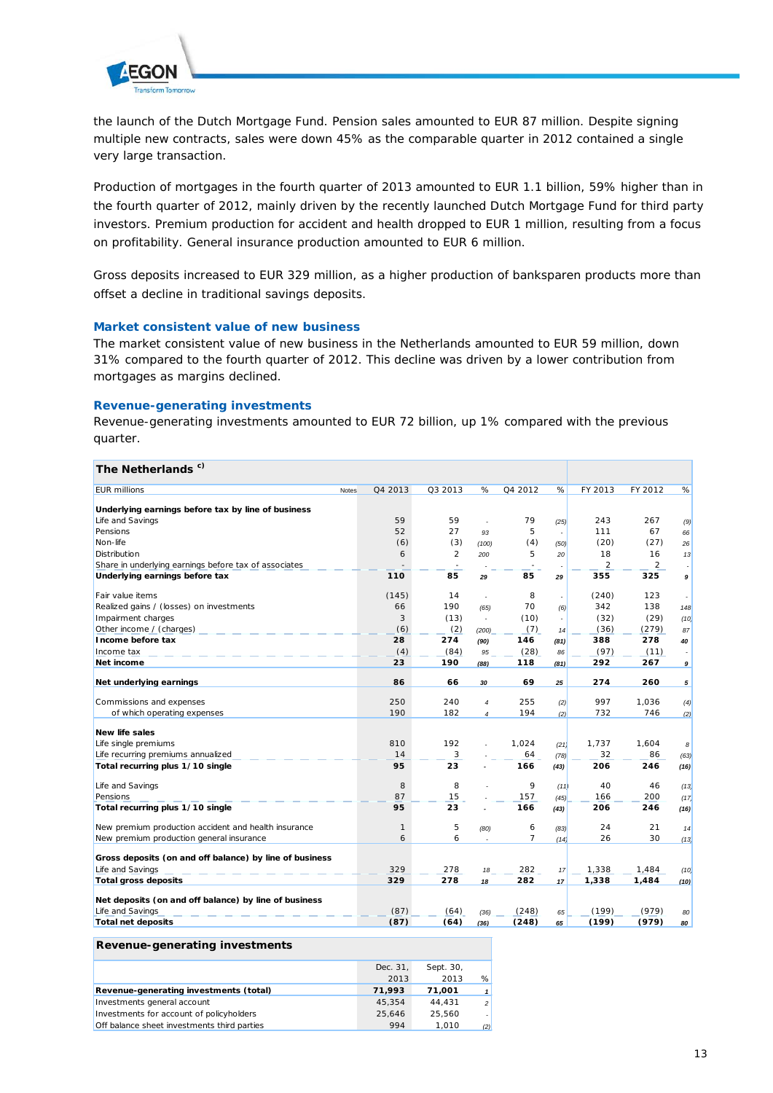

the launch of the Dutch Mortgage Fund. Pension sales amounted to EUR 87 million. Despite signing multiple new contracts, sales were down 45% as the comparable quarter in 2012 contained a single very large transaction.

Production of mortgages in the fourth quarter of 2013 amounted to EUR 1.1 billion, 59% higher than in the fourth quarter of 2012, mainly driven by the recently launched Dutch Mortgage Fund for third party investors. Premium production for accident and health dropped to EUR 1 million, resulting from a focus on profitability. General insurance production amounted to EUR 6 million.

Gross deposits increased to EUR 329 million, as a higher production of *banksparen* products more than offset a decline in traditional savings deposits.

### **Market consistent value of new business**

The market consistent value of new business in the Netherlands amounted to EUR 59 million, down 31% compared to the fourth quarter of 2012. This decline was driven by a lower contribution from mortgages as margins declined.

### **Revenue-generating investments**

Revenue-generating investments amounted to EUR 72 billion, up 1% compared with the previous quarter.

| c)<br><b>The Netherlands</b>                            |              |              |         |                             |                |                      |                |                |      |
|---------------------------------------------------------|--------------|--------------|---------|-----------------------------|----------------|----------------------|----------------|----------------|------|
| <b>EUR millions</b>                                     | <b>Notes</b> | Q4 2013      | Q3 2013 | %                           | Q4 2012        | %                    | FY 2013        | FY 2012        | %    |
| Underlying earnings before tax by line of business      |              |              |         |                             |                |                      |                |                |      |
| Life and Savings                                        |              | 59           | 59      |                             | 79             | (25)                 | 243            | 267            | (9)  |
| Pensions                                                |              | 52           | 27      | 93                          | 5              | $\overline{a}$       | 111            | 67             | 66   |
| Non-life                                                |              | (6)          | (3)     | (100)                       | (4)            | (50)                 | (20)           | (27)           | 26   |
| Distribution                                            |              | 6            | 2       | 200                         | 5              | 20                   | 18             | 16             | 13   |
| Share in underlying earnings before tax of associates   |              |              |         |                             |                | $\ddot{\phantom{0}}$ | $\overline{2}$ | $\overline{2}$ |      |
| Underlying earnings before tax                          |              | 110          | 85      | 29                          | 85             | 29                   | 355            | 325            | 9    |
| Fair value items                                        |              | (145)        | 14      | $\overline{a}$              | 8              | $\sim$               | (240)          | 123            |      |
| Realized gains / (losses) on investments                |              | 66           | 190     | (65)                        | 70             | (6)                  | 342            | 138            | 148  |
| Impairment charges                                      |              | 3            | (13)    | $\mathcal{L}_{\mathcal{A}}$ | (10)           | $\sim$               | (32)           | (29)           | (10) |
| Other income / (charges)                                |              | (6)          | (2)     | (200)                       | (7)            | 14                   | (36)           | (279)          | 87   |
| Income before tax                                       |              | 28           | 274     | (90)                        | 146            | (81)                 | 388            | 278            | 40   |
| Income tax                                              |              | (4)          | (84)    | 95                          | (28)           | 86                   | (97)           | (11)           |      |
| Net income                                              |              | 23           | 190     | (88)                        | 118            | (81)                 | 292            | 267            | 9    |
| Net underlying earnings                                 |              | 86           | 66      | 30                          | 69             | 25                   | 274            | 260            | 5    |
|                                                         |              |              |         |                             |                |                      |                |                |      |
| Commissions and expenses                                |              | 250          | 240     | $\overline{4}$              | 255            | (2)                  | 997            | 1,036          | (4)  |
| of which operating expenses                             |              | 190          | 182     | $\overline{4}$              | 194            | (2)                  | 732            | 746            | (2)  |
| New life sales                                          |              |              |         |                             |                |                      |                |                |      |
| Life single premiums                                    |              | 810          | 192     |                             | 1.024          | (21)                 | 1.737          | 1.604          | 8    |
| Life recurring premiums annualized                      |              | 14           | 3       |                             | 64             | (78)                 | 32             | 86             | (63) |
| Total recurring plus 1/10 single                        |              | 95           | 23      |                             | 166            | (43)                 | 206            | 246            | (16) |
| Life and Savings                                        |              | 8            | 8       |                             | 9              | (11)                 | 40             | 46             | (13) |
| Pensions                                                |              | 87           | 15      |                             | 157            | (45)                 | 166            | 200            | (17) |
| Total recurring plus 1/10 single                        |              | 95           | 23      |                             | 166            | (43)                 | 206            | 246            | (16) |
| New premium production accident and health insurance    |              | $\mathbf{1}$ | 5       | (80)                        | 6              | (83)                 | 24             | 21             | 14   |
| New premium production general insurance                |              | 6            | 6       |                             | $\overline{7}$ | (14)                 | 26             | 30             | (13) |
| Gross deposits (on and off balance) by line of business |              |              |         |                             |                |                      |                |                |      |
| Life and Savings                                        |              | 329          | 278     | 18                          | 282            | 17                   | 1,338          | 1,484          | (10) |
| <b>Total gross deposits</b>                             |              | 329          | 278     | 18                          | 282            | 17                   | 1,338          | 1,484          | (10) |
| Net deposits (on and off balance) by line of business   |              |              |         |                             |                |                      |                |                |      |
| Life and Savings                                        |              | (87)         | (64)    | (36)                        | (248)          | 65                   | (199)          | (979)          | 80   |
| <b>Total net deposits</b>                               |              | (87)         | (64)    | (36)                        | (248)          | 65                   | (199)          | (979)          | 80   |
|                                                         |              |              |         |                             |                |                      |                |                |      |

#### **Revenue-generating investments**

|                                             | Dec. 31. | Sept. 30, |                |
|---------------------------------------------|----------|-----------|----------------|
|                                             | 2013     | 2013      | %              |
| Revenue-generating investments (total)      | 71,993   | 71.001    |                |
| Investments general account                 | 45.354   | 44.431    | $\overline{z}$ |
| Investments for account of policyholders    | 25.646   | 25.560    |                |
| Off balance sheet investments third parties | 994      | 1.010     | (2)            |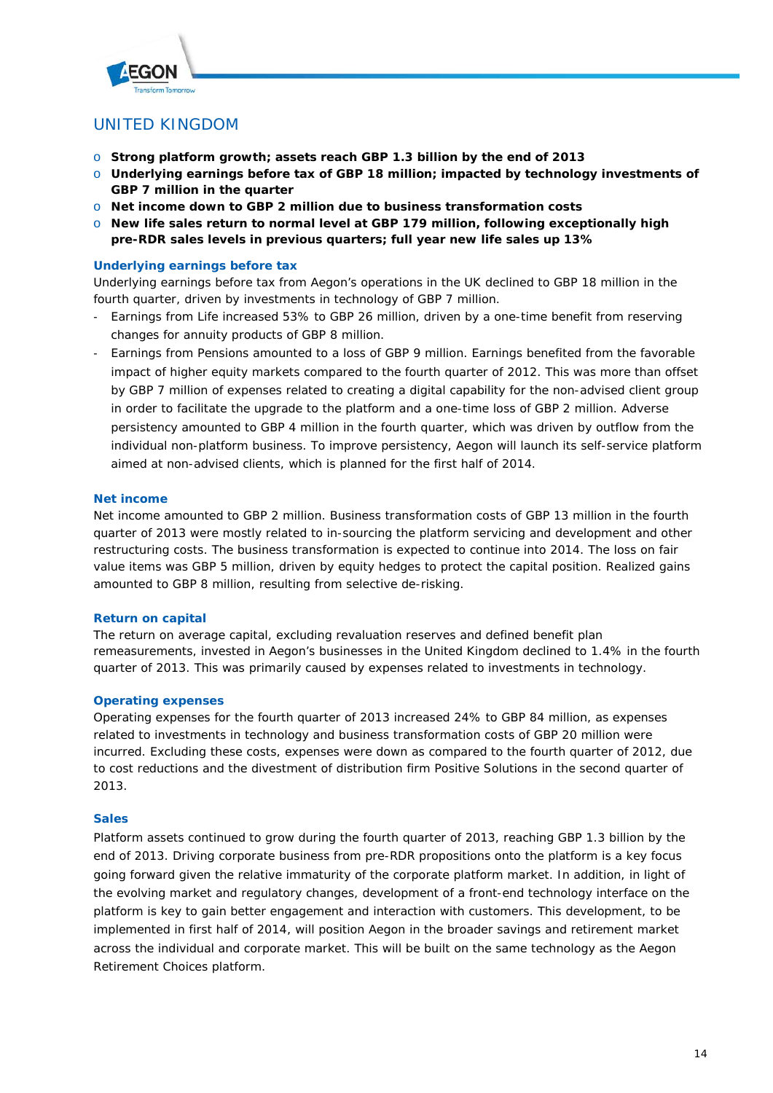

# UNITED KINGDOM

- o **Strong platform growth; assets reach GBP 1.3 billion by the end of 2013**
- o **Underlying earnings before tax of GBP 18 million; impacted by technology investments of GBP 7 million in the quarter**
- o **Net income down to GBP 2 million due to business transformation costs**
- o **New life sales return to normal level at GBP 179 million, following exceptionally high pre-RDR sales levels in previous quarters; full year new life sales up 13%**

# **Underlying earnings before tax**

Underlying earnings before tax from Aegon's operations in the UK declined to GBP 18 million in the fourth quarter, driven by investments in technology of GBP 7 million.

- Earnings from Life increased 53% to GBP 26 million, driven by a one-time benefit from reserving changes for annuity products of GBP 8 million.
- Earnings from Pensions amounted to a loss of GBP 9 million. Earnings benefited from the favorable impact of higher equity markets compared to the fourth quarter of 2012. This was more than offset by GBP 7 million of expenses related to creating a digital capability for the non-advised client group in order to facilitate the upgrade to the platform and a one-time loss of GBP 2 million. Adverse persistency amounted to GBP 4 million in the fourth quarter, which was driven by outflow from the individual non-platform business. To improve persistency, Aegon will launch its self-service platform aimed at non-advised clients, which is planned for the first half of 2014.

# **Net income**

Net income amounted to GBP 2 million. Business transformation costs of GBP 13 million in the fourth quarter of 2013 were mostly related to in-sourcing the platform servicing and development and other restructuring costs. The business transformation is expected to continue into 2014. The loss on fair value items was GBP 5 million, driven by equity hedges to protect the capital position. Realized gains amounted to GBP 8 million, resulting from selective de-risking.

# **Return on capital**

The return on average capital, excluding revaluation reserves and defined benefit plan remeasurements, invested in Aegon's businesses in the United Kingdom declined to 1.4% in the fourth quarter of 2013. This was primarily caused by expenses related to investments in technology.

# **Operating expenses**

Operating expenses for the fourth quarter of 2013 increased 24% to GBP 84 million, as expenses related to investments in technology and business transformation costs of GBP 20 million were incurred. Excluding these costs, expenses were down as compared to the fourth quarter of 2012, due to cost reductions and the divestment of distribution firm Positive Solutions in the second quarter of 2013.

# **Sales**

Platform assets continued to grow during the fourth quarter of 2013, reaching GBP 1.3 billion by the end of 2013. Driving corporate business from pre-RDR propositions onto the platform is a key focus going forward given the relative immaturity of the corporate platform market. In addition, in light of the evolving market and regulatory changes, development of a front-end technology interface on the platform is key to gain better engagement and interaction with customers. This development, to be implemented in first half of 2014, will position Aegon in the broader savings and retirement market across the individual and corporate market. This will be built on the same technology as the Aegon Retirement Choices platform.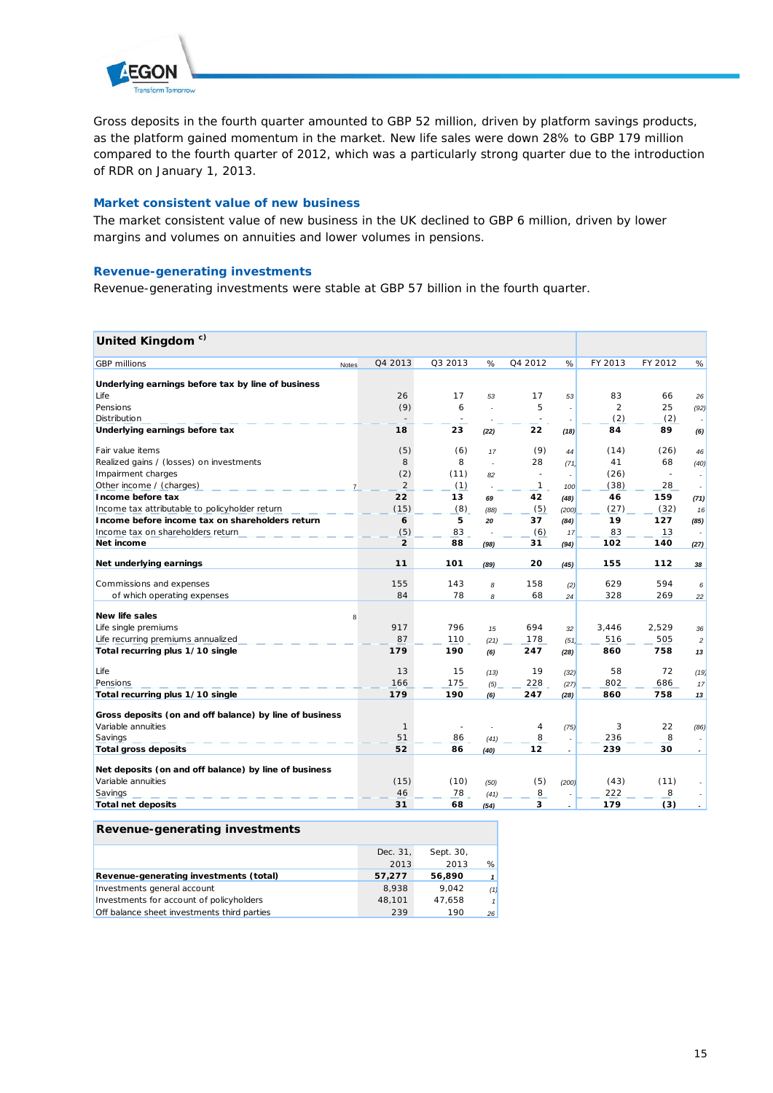

Gross deposits in the fourth quarter amounted to GBP 52 million, driven by platform savings products, as the platform gained momentum in the market. New life sales were down 28% to GBP 179 million compared to the fourth quarter of 2012, which was a particularly strong quarter due to the introduction of RDR on January 1, 2013.

# **Market consistent value of new business**

The market consistent value of new business in the UK declined to GBP 6 million, driven by lower margins and volumes on annuities and lower volumes in pensions.

# **Revenue-generating investments**

Revenue-generating investments were stable at GBP 57 billion in the fourth quarter.

# **United Kingdom c)**

| יייטשעייירי שטיויוט                                     |       |                |         |      |              |                          |                |         |                          |
|---------------------------------------------------------|-------|----------------|---------|------|--------------|--------------------------|----------------|---------|--------------------------|
| <b>GBP</b> millions                                     | Notes | Q4 2013        | Q3 2013 | %    | Q4 2012      | %                        | FY 2013        | FY 2012 | %                        |
| Underlying earnings before tax by line of business      |       |                |         |      |              |                          |                |         |                          |
| Life                                                    |       | 26             | 17      | 53   | 17           | 53                       | 83             | 66      | 26                       |
| Pensions                                                |       | (9)            | 6       |      | 5            | $\overline{a}$           | $\overline{2}$ | 25      | (92)                     |
| Distribution                                            |       |                |         |      |              |                          | (2)            | (2)     | ×.                       |
| Underlying earnings before tax                          |       | 18             | 23      | (22) | 22           | (18)                     | 84             | 89      | (6)                      |
| Fair value items                                        |       | (5)            | (6)     | 17   | (9)          | 44                       | (14)           | (26)    | 46                       |
| Realized gains / (losses) on investments                |       | 8              | 8       |      | 28           | (71)                     | 41             | 68      | (40)                     |
| Impairment charges                                      |       | (2)            | (11)    | 82   |              |                          | (26)           | $\sim$  |                          |
| Other income / (charges)                                |       | 2              | (1)     |      | $\mathbf{1}$ | 100                      | (38)           | 28      | $\overline{\phantom{a}}$ |
| Income before tax                                       |       | 22             | 13      | 69   | 42           | (48)                     | 46             | 159     | (71)                     |
| Income tax attributable to policyholder return          |       | (15)           | (8)     | (88) | (5)          | (200)                    | (27)           | (32)    | 16                       |
| Income before income tax on shareholders return         |       | 6              | 5       | 20   | 37           | (84)                     | 19             | 127     | (85)                     |
| Income tax on shareholders return                       |       | (5)            | 83      |      | (6)          | 17                       | 83             | 13      | $\overline{\phantom{a}}$ |
| Net income                                              |       | $\overline{2}$ | 88      | (98) | 31           | (94)                     | 102            | 140     | (27)                     |
| Net underlying earnings                                 |       | 11             | 101     | (89) | 20           | (45)                     | 155            | 112     | 38                       |
| Commissions and expenses                                |       | 155            | 143     | 8    | 158          | (2)                      | 629            | 594     | 6                        |
| of which operating expenses                             |       | 84             | 78      | 8    | 68           | 24                       | 328            | 269     | 22                       |
| <b>New life sales</b>                                   | 8     |                |         |      |              |                          |                |         |                          |
| Life single premiums                                    |       | 917            | 796     | 15   | 694          | 32                       | 3,446          | 2,529   | 36                       |
| Life recurring premiums annualized                      |       | 87             | 110     | (21) | 178          | (51)                     | 516            | 505     | $\overline{c}$           |
| Total recurring plus 1/10 single                        |       | 179            | 190     | (6)  | 247          | (28)                     | 860            | 758     | 13                       |
| Life                                                    |       | 13             | 15      | (13) | 19           | (32)                     | 58             | 72      | (19)                     |
| Pensions                                                |       | 166            | 175     | (5)  | 228          | (27)                     | 802            | 686     | 17                       |
| Total recurring plus 1/10 single                        |       | 179            | 190     | (6)  | 247          | (28)                     | 860            | 758     | 13                       |
| Gross deposits (on and off balance) by line of business |       |                |         |      |              |                          |                |         |                          |
| Variable annuities                                      |       | $\mathbf{1}$   |         |      | 4            | (75)                     | 3              | 22      | (86)                     |
| Savings                                                 |       | 51             | 86      | (41) | 8            | $\overline{\phantom{a}}$ | 236            | 8       | $\overline{\phantom{a}}$ |
| <b>Total gross deposits</b>                             |       | 52             | 86      | (40) | 12           | $\overline{a}$           | 239            | 30      | $\sim$                   |
| Net deposits (on and off balance) by line of business   |       |                |         |      |              |                          |                |         |                          |
| Variable annuities                                      |       | (15)           | (10)    | (50) | (5)          | (200)                    | (43)           | (11)    |                          |
| Savings                                                 |       | 46             | 78      | (41) | 8            |                          | 222            | 8       |                          |
| <b>Total net deposits</b>                               |       | 31             | 68      | (54) | 3            | $\overline{\phantom{a}}$ | 179            | (3)     |                          |

Sept. 30, 2013 2013 %

| .                                      |          |
|----------------------------------------|----------|
|                                        | Dec. 31. |
|                                        | 2013     |
| Revenue-generating investments (total) | 57.277   |

| Revenue-generating investments (total)      | 57.277 | 56.890 |     |
|---------------------------------------------|--------|--------|-----|
| Investments general account                 | 8.938  | 9.042  | (1) |
| Investments for account of policyholders    | 48.101 | 47.658 |     |
| Off balance sheet investments third parties | 239    | 190    | 26  |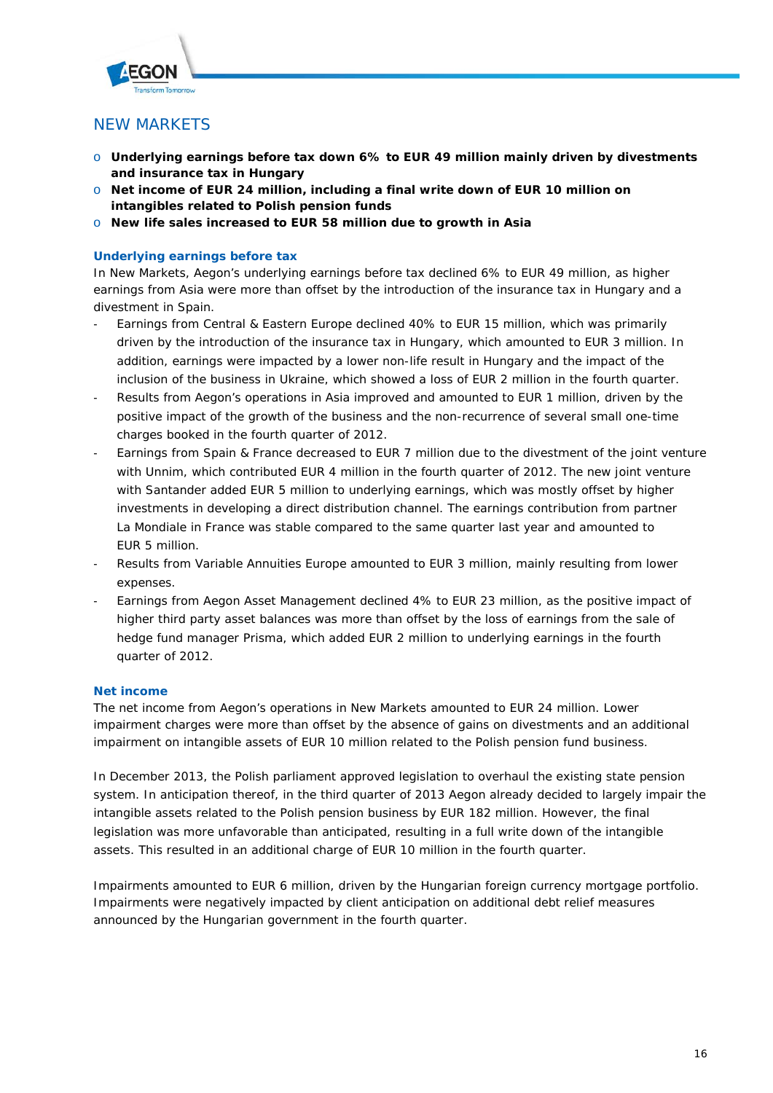

# NEW MARKETS

- o **Underlying earnings before tax down 6% to EUR 49 million mainly driven by divestments and insurance tax in Hungary**
- o **Net income of EUR 24 million, including a final write down of EUR 10 million on intangibles related to Polish pension funds**
- o **New life sales increased to EUR 58 million due to growth in Asia**

# **Underlying earnings before tax**

In New Markets, Aegon's underlying earnings before tax declined 6% to EUR 49 million, as higher earnings from Asia were more than offset by the introduction of the insurance tax in Hungary and a divestment in Spain.

- Earnings from Central & Eastern Europe declined 40% to EUR 15 million, which was primarily driven by the introduction of the insurance tax in Hungary, which amounted to EUR 3 million. In addition, earnings were impacted by a lower non-life result in Hungary and the impact of the inclusion of the business in Ukraine, which showed a loss of EUR 2 million in the fourth quarter.
- Results from Aegon's operations in Asia improved and amounted to EUR 1 million, driven by the positive impact of the growth of the business and the non-recurrence of several small one-time charges booked in the fourth quarter of 2012.
- Earnings from Spain & France decreased to EUR 7 million due to the divestment of the joint venture with Unnim, which contributed EUR 4 million in the fourth quarter of 2012. The new joint venture with Santander added EUR 5 million to underlying earnings, which was mostly offset by higher investments in developing a direct distribution channel. The earnings contribution from partner La Mondiale in France was stable compared to the same quarter last year and amounted to EUR 5 million.
- Results from Variable Annuities Europe amounted to EUR 3 million, mainly resulting from lower expenses.
- Earnings from Aegon Asset Management declined 4% to EUR 23 million, as the positive impact of higher third party asset balances was more than offset by the loss of earnings from the sale of hedge fund manager Prisma, which added EUR 2 million to underlying earnings in the fourth quarter of 2012.

# **Net income**

The net income from Aegon's operations in New Markets amounted to EUR 24 million. Lower impairment charges were more than offset by the absence of gains on divestments and an additional impairment on intangible assets of EUR 10 million related to the Polish pension fund business.

In December 2013, the Polish parliament approved legislation to overhaul the existing state pension system. In anticipation thereof, in the third quarter of 2013 Aegon already decided to largely impair the intangible assets related to the Polish pension business by EUR 182 million. However, the final legislation was more unfavorable than anticipated, resulting in a full write down of the intangible assets. This resulted in an additional charge of EUR 10 million in the fourth quarter.

Impairments amounted to EUR 6 million, driven by the Hungarian foreign currency mortgage portfolio. Impairments were negatively impacted by client anticipation on additional debt relief measures announced by the Hungarian government in the fourth quarter.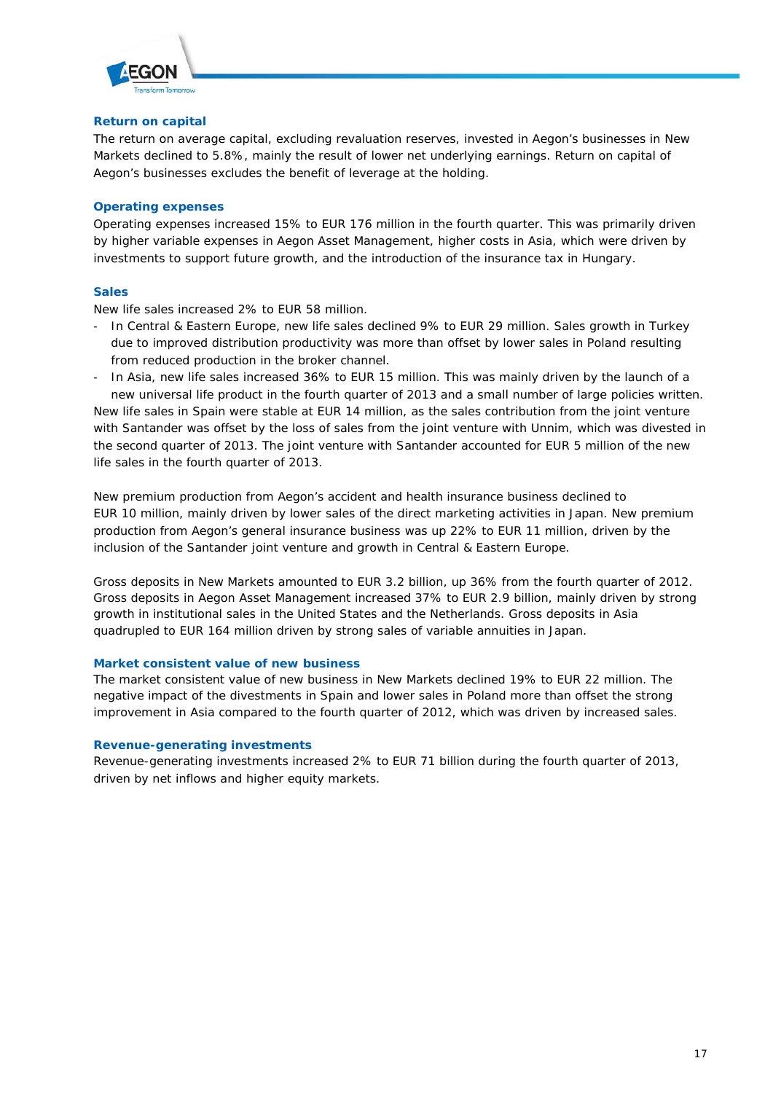

## **Return on capital**

The return on average capital, excluding revaluation reserves, invested in Aegon's businesses in New Markets declined to 5.8%, mainly the result of lower net underlying earnings. Return on capital of Aegon's businesses excludes the benefit of leverage at the holding.

# **Operating expenses**

Operating expenses increased 15% to EUR 176 million in the fourth quarter. This was primarily driven by higher variable expenses in Aegon Asset Management, higher costs in Asia, which were driven by investments to support future growth, and the introduction of the insurance tax in Hungary.

# **Sales**

New life sales increased 2% to EUR 58 million.

- In Central & Eastern Europe, new life sales declined 9% to EUR 29 million. Sales growth in Turkey due to improved distribution productivity was more than offset by lower sales in Poland resulting from reduced production in the broker channel.
- In Asia, new life sales increased 36% to EUR 15 million. This was mainly driven by the launch of a new universal life product in the fourth quarter of 2013 and a small number of large policies written.

New life sales in Spain were stable at EUR 14 million, as the sales contribution from the joint venture with Santander was offset by the loss of sales from the joint venture with Unnim, which was divested in the second quarter of 2013. The joint venture with Santander accounted for EUR 5 million of the new life sales in the fourth quarter of 2013.

New premium production from Aegon's accident and health insurance business declined to EUR 10 million, mainly driven by lower sales of the direct marketing activities in Japan. New premium production from Aegon's general insurance business was up 22% to EUR 11 million, driven by the inclusion of the Santander joint venture and growth in Central & Eastern Europe.

Gross deposits in New Markets amounted to EUR 3.2 billion, up 36% from the fourth quarter of 2012. Gross deposits in Aegon Asset Management increased 37% to EUR 2.9 billion, mainly driven by strong growth in institutional sales in the United States and the Netherlands. Gross deposits in Asia quadrupled to EUR 164 million driven by strong sales of variable annuities in Japan.

# **Market consistent value of new business**

The market consistent value of new business in New Markets declined 19% to EUR 22 million. The negative impact of the divestments in Spain and lower sales in Poland more than offset the strong improvement in Asia compared to the fourth quarter of 2012, which was driven by increased sales.

# **Revenue-generating investments**

Revenue-generating investments increased 2% to EUR 71 billion during the fourth quarter of 2013, driven by net inflows and higher equity markets.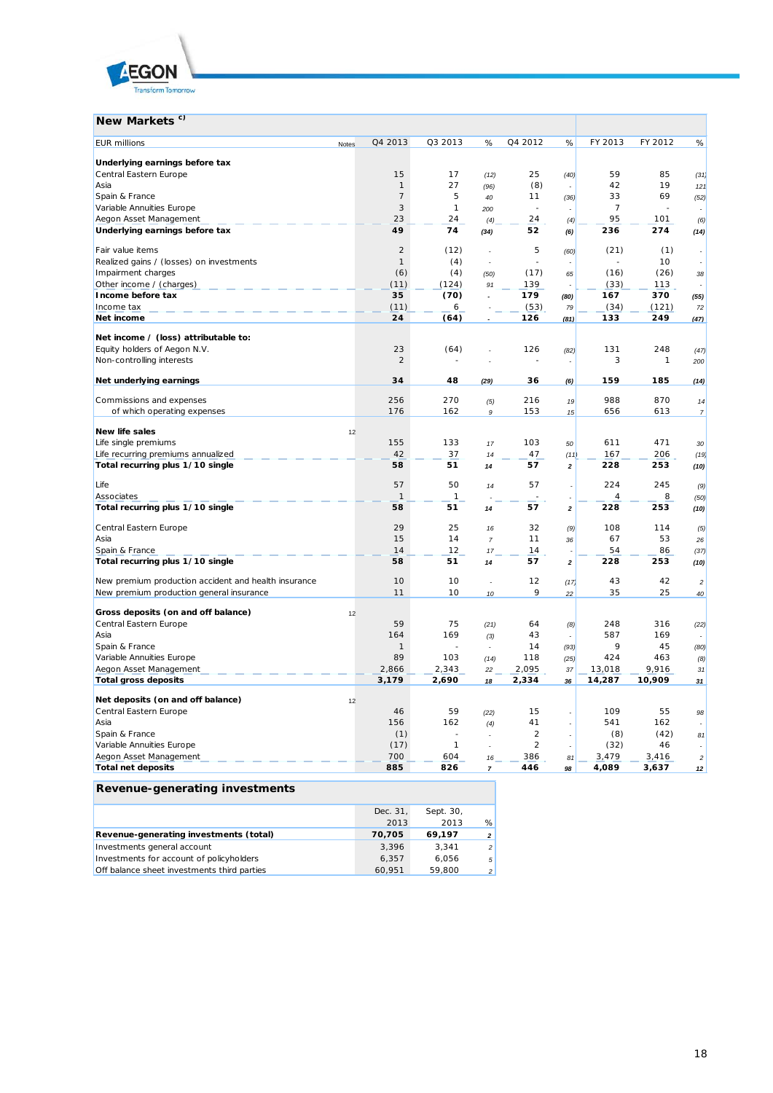

| New Markets <sup>c)</sup>                            |       |                |              |                          |                |                                                                                                                                                                                                                                                                                                                                                                                                                         |                |              |                         |
|------------------------------------------------------|-------|----------------|--------------|--------------------------|----------------|-------------------------------------------------------------------------------------------------------------------------------------------------------------------------------------------------------------------------------------------------------------------------------------------------------------------------------------------------------------------------------------------------------------------------|----------------|--------------|-------------------------|
| <b>EUR</b> millions                                  | Notes | Q4 2013        | Q3 2013      | %                        | Q4 2012        | %                                                                                                                                                                                                                                                                                                                                                                                                                       | FY 2013        | FY 2012      | %                       |
| Underlying earnings before tax                       |       |                |              |                          |                |                                                                                                                                                                                                                                                                                                                                                                                                                         |                |              |                         |
| Central Eastern Europe                               |       | 15             | 17           | (12)                     | 25             | (40)                                                                                                                                                                                                                                                                                                                                                                                                                    | 59             | 85           | (31)                    |
| Asia                                                 |       | $\mathbf{1}$   | 27           | (96)                     | (8)            |                                                                                                                                                                                                                                                                                                                                                                                                                         | 42             | 19           | 121                     |
| Spain & France                                       |       | $\overline{7}$ | 5            | 40                       | 11             | (36)                                                                                                                                                                                                                                                                                                                                                                                                                    | 33             | 69           | (52)                    |
| Variable Annuities Europe                            |       | 3              | $\mathbf{1}$ | 200                      |                |                                                                                                                                                                                                                                                                                                                                                                                                                         | $\overline{7}$ |              |                         |
| Aegon Asset Management                               |       | 23             | 24           | (4)                      | 24             | (4)                                                                                                                                                                                                                                                                                                                                                                                                                     | 95             | 101          | (6)                     |
| Underlying earnings before tax                       |       | 49             | 74           | (34)                     | 52             | (6)                                                                                                                                                                                                                                                                                                                                                                                                                     | 236            | 274          | (14)                    |
|                                                      |       |                |              |                          |                |                                                                                                                                                                                                                                                                                                                                                                                                                         |                |              |                         |
| Fair value items                                     |       | $\overline{2}$ | (12)         |                          | 5              | (60)                                                                                                                                                                                                                                                                                                                                                                                                                    | (21)           | (1)          |                         |
| Realized gains / (losses) on investments             |       | $\mathbf{1}$   | (4)          |                          |                |                                                                                                                                                                                                                                                                                                                                                                                                                         |                | 10           | ٠                       |
| Impairment charges                                   |       | (6)            | (4)          | (50)                     | (17)           | 65                                                                                                                                                                                                                                                                                                                                                                                                                      | (16)           | (26)         | 38                      |
| Other income / (charges)                             |       | (11)           | (124)        | 91                       | 139            |                                                                                                                                                                                                                                                                                                                                                                                                                         | (33)           | 113          |                         |
| Income before tax                                    |       | 35             | (70)         |                          | 179            | (80)                                                                                                                                                                                                                                                                                                                                                                                                                    | 167            | 370          | (55)                    |
| Income tax                                           |       | (11)           | 6            |                          | (53)           | 79                                                                                                                                                                                                                                                                                                                                                                                                                      | (34)           | (121)        | 72                      |
| Net income                                           |       | 24             | (64)         |                          | 126            | (81)                                                                                                                                                                                                                                                                                                                                                                                                                    | 133            | 249          | (47)                    |
| Net income / (loss) attributable to:                 |       |                |              |                          |                |                                                                                                                                                                                                                                                                                                                                                                                                                         |                |              |                         |
| Equity holders of Aegon N.V.                         |       | 23             | (64)         |                          | 126            | (82)                                                                                                                                                                                                                                                                                                                                                                                                                    | 131            | 248          | (47)                    |
| Non-controlling interests                            |       | $\overline{2}$ |              |                          |                |                                                                                                                                                                                                                                                                                                                                                                                                                         | 3              | $\mathcal I$ | 200                     |
| Net underlying earnings                              |       | 34             | 48           | (29)                     | 36             | (6)                                                                                                                                                                                                                                                                                                                                                                                                                     | 159            | 185          | (14)                    |
| Commissions and expenses                             |       | 256            | 270          | (5)                      | 216            | 19                                                                                                                                                                                                                                                                                                                                                                                                                      | 988            | 870          | 14                      |
| of which operating expenses                          |       | 176            | 162          | 9                        | 153            | 15                                                                                                                                                                                                                                                                                                                                                                                                                      | 656            | 613          | $\overline{z}$          |
| <b>New life sales</b>                                | 12    |                |              |                          |                |                                                                                                                                                                                                                                                                                                                                                                                                                         |                |              |                         |
| Life single premiums                                 |       | 155            | 133          | 17                       | 103            | 50                                                                                                                                                                                                                                                                                                                                                                                                                      | 611            | 471          | 30                      |
| Life recurring premiums annualized                   |       | 42             | 37           | 14                       | 47             | (11)                                                                                                                                                                                                                                                                                                                                                                                                                    | 167            | 206          | (19)                    |
| Total recurring plus 1/10 single                     |       | 58             | 51           | 14                       | 57             | $\mathbf{2}% =\mathbf{2}+\mathbf{2}+\mathbf{3}+\mathbf{4}+\mathbf{5}+\mathbf{5}+\mathbf{5}+\mathbf{6}+\mathbf{6}+\mathbf{5}+\mathbf{6}+\mathbf{5}+\mathbf{6}+\mathbf{6}+\mathbf{5}+\mathbf{5}+\mathbf{6}+\mathbf{6}+\mathbf{6}+\mathbf{6}+\mathbf{5}+\mathbf{6}+\mathbf{6}+\mathbf{6}+\mathbf{6}+\mathbf{6}+\mathbf{6}+\mathbf{6}+\mathbf{6}+\mathbf{6}+\mathbf{6}+\mathbf{6}+\mathbf{6}+\mathbf{6}+\mathbf{6}+\mathbf$ | 228            | 253          | (10)                    |
| Life                                                 |       | 57             | 50           | 14                       | 57             | J.                                                                                                                                                                                                                                                                                                                                                                                                                      | 224            | 245          |                         |
|                                                      |       | $\mathbf{1}$   | 1            |                          |                |                                                                                                                                                                                                                                                                                                                                                                                                                         | $\overline{4}$ | 8            | (9)                     |
| Associates                                           |       |                |              |                          |                |                                                                                                                                                                                                                                                                                                                                                                                                                         |                |              | (50)                    |
| Total recurring plus 1/10 single                     |       | 58             | 51           | 14                       | 57             | $\mathbf 2$                                                                                                                                                                                                                                                                                                                                                                                                             | 228            | 253          | (10)                    |
| Central Eastern Europe                               |       | 29             | 25           | 16                       | 32             | (9)                                                                                                                                                                                                                                                                                                                                                                                                                     | 108            | 114          | (5)                     |
| Asia                                                 |       | 15             | 14           | $\overline{7}$           | 11             | 36                                                                                                                                                                                                                                                                                                                                                                                                                      | 67             | 53           | 26                      |
| Spain & France                                       |       | 14             | 12           | 17                       | 14             |                                                                                                                                                                                                                                                                                                                                                                                                                         | 54             | 86           | (37)                    |
| Total recurring plus 1/10 single                     |       | 58             | 51           | 14                       | 57             | $\mathbf 2$                                                                                                                                                                                                                                                                                                                                                                                                             | 228            | 253          | (10)                    |
| New premium production accident and health insurance |       | 10             | 10           | $\overline{\phantom{a}}$ | 12             | (17)                                                                                                                                                                                                                                                                                                                                                                                                                    | 43             | 42           | $\overline{\mathbf{c}}$ |
| New premium production general insurance             |       | 11             | 10           | 10                       | 9              | 22                                                                                                                                                                                                                                                                                                                                                                                                                      | 35             | 25           | 40                      |
| Gross deposits (on and off balance)                  |       |                |              |                          |                |                                                                                                                                                                                                                                                                                                                                                                                                                         |                |              |                         |
|                                                      | 12    | 59             | 75           |                          |                |                                                                                                                                                                                                                                                                                                                                                                                                                         | 248            | 316          |                         |
| Central Eastern Europe                               |       |                |              | (21)                     | 64             | (8)                                                                                                                                                                                                                                                                                                                                                                                                                     |                |              | (22)                    |
| Asia                                                 |       | 164            | 169<br>÷.    | (3)                      | 43             |                                                                                                                                                                                                                                                                                                                                                                                                                         | 587<br>9       | 169          |                         |
| Spain & France                                       |       | $\mathbf{1}$   |              | ÷                        | 14             | (93)                                                                                                                                                                                                                                                                                                                                                                                                                    |                | 45           | (80)                    |
| Variable Annuities Europe                            |       | 89             | 103          | (14)                     | 118            | (25)                                                                                                                                                                                                                                                                                                                                                                                                                    | 424            | 463          | (8)                     |
| Aegon Asset Management                               |       | 2,866          | 2,343        | 22                       | 2,095          | 37                                                                                                                                                                                                                                                                                                                                                                                                                      | 13,018         | 9,916        | 31                      |
| <b>Total gross deposits</b>                          |       | 3,179          | 2,690        | 18                       | 2,334          | 36                                                                                                                                                                                                                                                                                                                                                                                                                      | 14,287         | 10,909       | 31                      |
| Net deposits (on and off balance)                    | 12    |                |              |                          |                |                                                                                                                                                                                                                                                                                                                                                                                                                         |                |              |                         |
| Central Eastern Europe                               |       | 46             | 59           | (22)                     | 15             |                                                                                                                                                                                                                                                                                                                                                                                                                         | 109            | 55           | 98                      |
| Asia                                                 |       | 156            | 162          | (4)                      | 41             |                                                                                                                                                                                                                                                                                                                                                                                                                         | 541            | 162          |                         |
| Spain & France                                       |       | (1)            |              |                          | $\overline{2}$ | $\overline{\phantom{a}}$                                                                                                                                                                                                                                                                                                                                                                                                | (8)            | (42)         | 81                      |
| Variable Annuities Europe                            |       | (17)           | 1            |                          | $\overline{2}$ | ÷,                                                                                                                                                                                                                                                                                                                                                                                                                      | (32)           | 46           |                         |
| Aegon Asset Management                               |       | 700            | 604          | 16                       | 386            | 81                                                                                                                                                                                                                                                                                                                                                                                                                      | 3,479          | 3,416        | $\sqrt{2}$              |
| <b>Total net deposits</b>                            |       | 885            | 826          | $\overline{\mathbf{r}}$  | 446            | 98                                                                                                                                                                                                                                                                                                                                                                                                                      | 4,089          | 3,637        | 12                      |
|                                                      |       |                |              |                          |                |                                                                                                                                                                                                                                                                                                                                                                                                                         |                |              |                         |

| Revenue-generating investments              |          |           |                          |
|---------------------------------------------|----------|-----------|--------------------------|
|                                             | Dec. 31, | Sept. 30, |                          |
|                                             | 2013     | 2013      | %                        |
| Revenue-generating investments (total)      | 70.705   | 69.197    | $\overline{2}$           |
| Investments general account                 | 3.396    | 3.341     | $\overline{\phantom{a}}$ |
| Investments for account of policyholders    | 6.357    | 6.056     | 5                        |
| Off balance sheet investments third parties | 60.951   | 59.800    | $\overline{\phantom{a}}$ |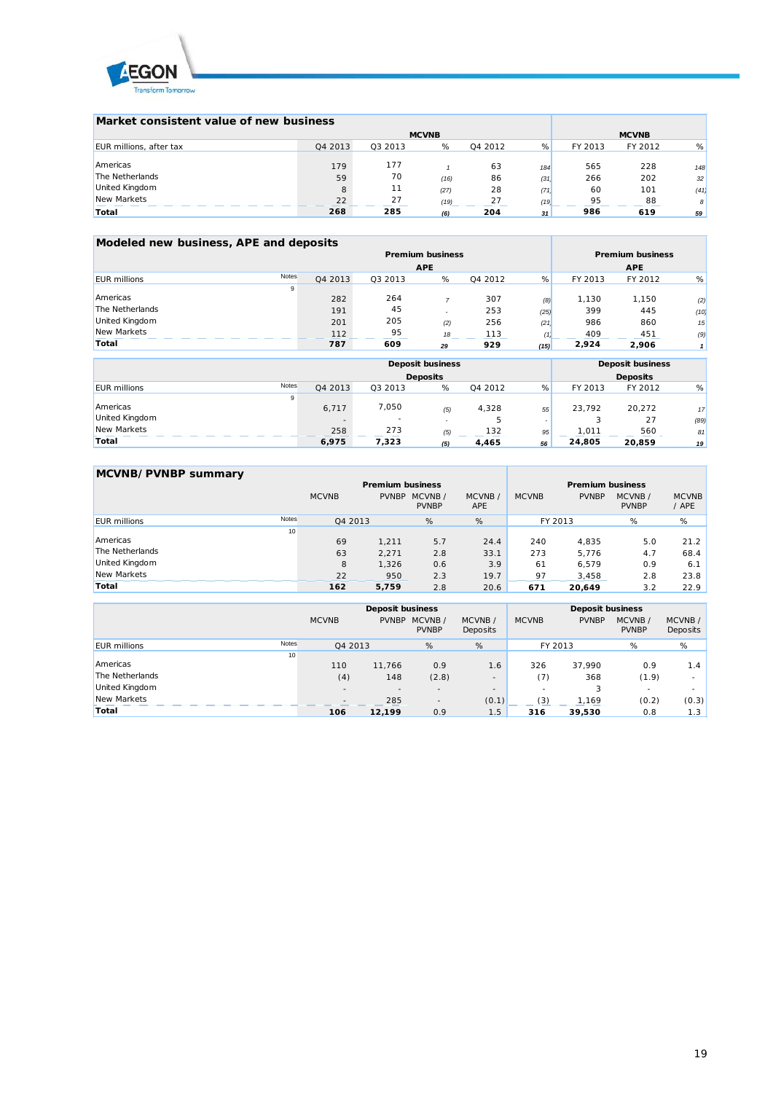

| Market consistent value of new business |         |         |              |         |      |         |              |                 |
|-----------------------------------------|---------|---------|--------------|---------|------|---------|--------------|-----------------|
|                                         |         |         | <b>MCVNB</b> |         |      |         | <b>MCVNB</b> |                 |
| EUR millions, after tax                 | Q4 2013 | Q3 2013 | %            | Q4 2012 | %    | FY 2013 | FY 2012      | %               |
| Americas                                | 179     | 177     |              | 63      | 184  | 565     | 228          | 148             |
| The Netherlands                         | 59      | 70      | (16)         | 86      | (31) | 266     | 202          | 32              |
| United Kingdom                          | 8       | 11      | (27)         | 28      | (71) | 60      | 101          | (41)            |
| New Markets                             | 22      | 27      | (19)         | 27      | (19) | 95      | 88           | 8               |
| Total                                   | 268     | 285     | (6)          | 204     | 31   | 986     | 619          | 59 <sub>1</sub> |

| Modeled new business, APE and deposits |       |         |                         |                         |            |      |         |         |      |
|----------------------------------------|-------|---------|-------------------------|-------------------------|------------|------|---------|---------|------|
|                                        |       |         | <b>Premium business</b> | <b>Premium business</b> |            |      |         |         |      |
|                                        |       |         | <b>APE</b>              |                         | <b>APE</b> |      |         |         |      |
| <b>EUR millions</b>                    | Notes | Q4 2013 | Q3 2013                 | %                       | Q4 2012    | %    | FY 2013 | FY 2012 | %    |
|                                        | 9     |         |                         |                         |            |      |         |         |      |
| Americas                               |       | 282     | 264                     |                         | 307        | (8)  | 1.130   | 1,150   | (2)  |
| The Netherlands                        |       | 191     | 45                      |                         | 253        | (25) | 399     | 445     | (10) |
| United Kingdom                         |       | 201     | 205                     | (2)                     | 256        | (21) | 986     | 860     | 15   |
| New Markets                            |       | 112     | 95                      | 18                      | 113        |      | 409     | 451     | (9)  |
| Total                                  |       | 787     | 609                     | 29                      | 929        | (15) | 2.924   | 2,906   |      |

|                                     |         | <b>Deposit business</b> | <b>Deposit business</b><br><b>Deposits</b> |         |    |         |         |      |
|-------------------------------------|---------|-------------------------|--------------------------------------------|---------|----|---------|---------|------|
|                                     |         | <b>Deposits</b>         |                                            |         |    |         |         |      |
| <b>Notes</b><br><b>EUR</b> millions | Q4 2013 | Q3 2013                 | %                                          | Q4 2012 | %  | FY 2013 | FY 2012 | %    |
| 9                                   |         |                         |                                            |         |    |         |         |      |
| Americas                            | 6,717   | 7,050                   | (5)                                        | 4,328   | 55 | 23.792  | 20,272  | 17   |
| United Kingdom                      |         | ٠                       |                                            | ь       |    |         | 27      | (89) |
| New Markets                         | 258     | 273                     | (5)                                        | 132     | 95 | .011    | 560     | 81   |
| Total                               | 6,975   | 7,323                   | (5)                                        | 4,465   | 56 | 24,805  | 20.859  | 19   |

| MCVNB/PVNBP summary |       |              |              |                         |                      |                         |              |                         |                       |  |
|---------------------|-------|--------------|--------------|-------------------------|----------------------|-------------------------|--------------|-------------------------|-----------------------|--|
|                     |       |              |              | <b>Premium business</b> |                      | <b>Premium business</b> |              |                         |                       |  |
|                     |       | <b>MCVNB</b> | <b>PVNBP</b> | MCVNB/<br><b>PVNBP</b>  | MCVNB/<br><b>APE</b> | <b>MCVNB</b>            | <b>PVNBP</b> | MCVNB /<br><b>PVNBP</b> | <b>MCVNB</b><br>/ APE |  |
| <b>FUR</b> millions | Notes | Q4 2013      |              | %                       | %                    |                         | FY 2013      | %                       | %                     |  |
|                     | 10    |              |              |                         |                      |                         |              |                         |                       |  |
| Americas            |       | 69           | 1.211        | 5.7                     | 24.4                 | 240                     | 4.835        | 5.0                     | 21.2                  |  |
| The Netherlands     |       | 63           | 2.271        | 2.8                     | 33.1                 | 273                     | 5.776        | 4.7                     | 68.4                  |  |
| United Kingdom      |       | 8            | 1.326        | 0.6                     | 3.9                  | 61                      | 6.579        | 0.9                     | 6.1                   |  |
| New Markets         |       | 22           | 950          | 2.3                     | 19.7                 | 97                      | 3.458        | 2.8                     | 23.8                  |  |
| Total               |       | 162          | 5,759        | 2.8                     | 20.6                 | 671                     | 20.649       | 3.2                     | 22.9                  |  |

|                     |       |              | <b>Deposit business</b>  |                          |                          | <b>Deposit business</b> |              |              |          |  |  |
|---------------------|-------|--------------|--------------------------|--------------------------|--------------------------|-------------------------|--------------|--------------|----------|--|--|
|                     |       | <b>MCVNB</b> | <b>PVNBP</b>             | MCVNB/                   | MCVNB/                   | <b>MCVNB</b>            | <b>PVNBP</b> | MCVNB /      | MCVNB/   |  |  |
|                     |       |              |                          | <b>PVNBP</b>             | Deposits                 |                         |              | <b>PVNBP</b> | Deposits |  |  |
| <b>EUR</b> millions | Notes | Q4 2013      |                          | %                        | %                        | FY 2013                 |              | %            | %        |  |  |
|                     | 10    |              |                          |                          |                          |                         |              |              |          |  |  |
| Americas            |       | 110          | 11,766                   | 0.9                      | 1.6                      | 326                     | 37.990       | 0.9          | 1.4      |  |  |
| The Netherlands     |       | (4)          | 148                      | (2.8)                    |                          | (7)                     | 368          | (1.9)        |          |  |  |
| United Kingdom      |       | $\sim$       | $\overline{\phantom{a}}$ | $\overline{\phantom{a}}$ | $\overline{\phantom{a}}$ |                         |              | $\sim$       |          |  |  |
| New Markets         |       |              | 285                      | $\overline{a}$           | (0.1)                    | (3)                     | 1,169        | (0.2)        | (0.3)    |  |  |
| Total               |       | 106          | 12,199                   | 0.9                      | 1.5 <sub>1</sub>         | 316                     | 39,530       | 0.8          | 1.3      |  |  |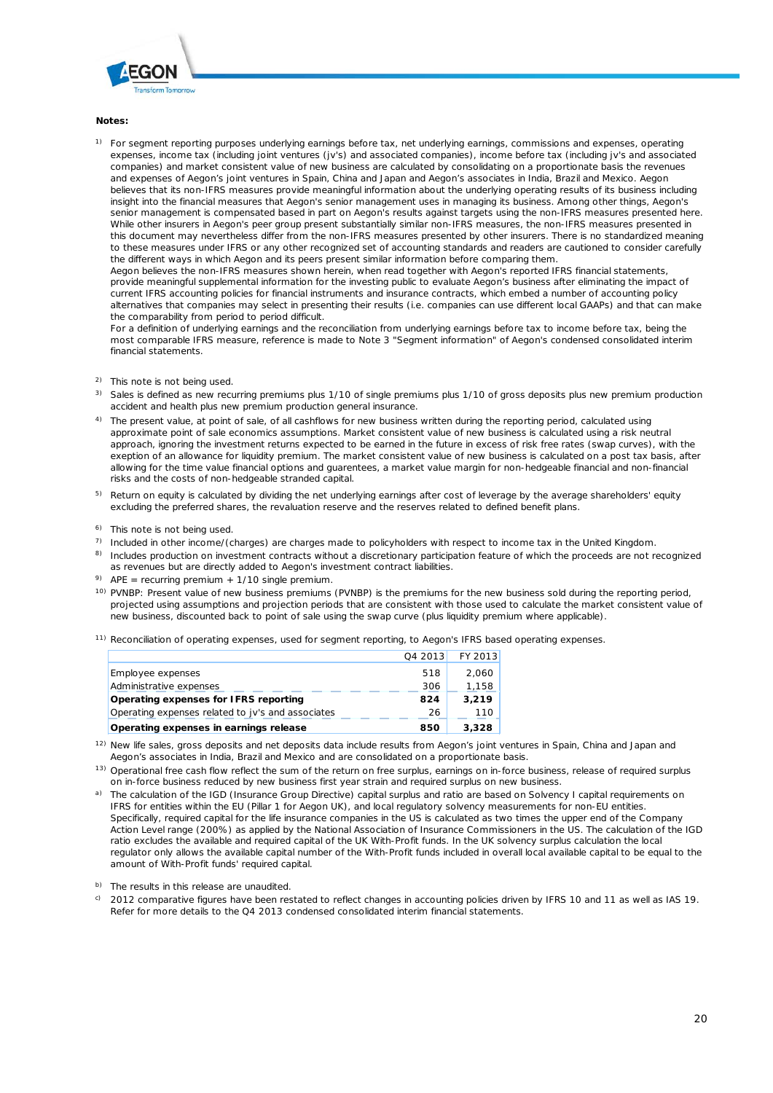

#### **Notes:**

<sup>1)</sup> For segment reporting purposes underlying earnings before tax, net underlying earnings, commissions and expenses, operating expenses, income tax (including joint ventures (jv's) and associated companies), income before tax (including jv's and associated companies) and market consistent value of new business are calculated by consolidating on a proportionate basis the revenues and expenses of Aegon's joint ventures in Spain, China and Japan and Aegon's associates in India, Brazil and Mexico. Aegon believes that its non-IFRS measures provide meaningful information about the underlying operating results of its business including insight into the financial measures that Aegon's senior management uses in managing its business. Among other things, Aegon's senior management is compensated based in part on Aegon's results against targets using the non-IFRS measures presented here. While other insurers in Aegon's peer group present substantially similar non-IFRS measures, the non-IFRS measures presented in this document may nevertheless differ from the non-IFRS measures presented by other insurers. There is no standardized meaning to these measures under IFRS or any other recognized set of accounting standards and readers are cautioned to consider carefully the different ways in which Aegon and its peers present similar information before comparing them.

Aegon believes the non-IFRS measures shown herein, when read together with Aegon's reported IFRS financial statements, provide meaningful supplemental information for the investing public to evaluate Aegon's business after eliminating the impact of current IFRS accounting policies for financial instruments and insurance contracts, which embed a number of accounting policy alternatives that companies may select in presenting their results (i.e. companies can use different local GAAPs) and that can make the comparability from period to period difficult.

For a definition of underlying earnings and the reconciliation from underlying earnings before tax to income before tax, being the most comparable IFRS measure, reference is made to Note 3 "Segment information" of Aegon's condensed consolidated interim financial statements.

- <sup>2)</sup> This note is not being used.
- <sup>3)</sup> Sales is defined as new recurring premiums plus 1/10 of single premiums plus 1/10 of gross deposits plus new premium production accident and health plus new premium production general insurance.
- <sup>4)</sup> The present value, at point of sale, of all cashflows for new business written during the reporting period, calculated using approximate point of sale economics assumptions. Market consistent value of new business is calculated using a risk neutral approach, ignoring the investment returns expected to be earned in the future in excess of risk free rates (swap curves), with the exeption of an allowance for liquidity premium. The market consistent value of new business is calculated on a post tax basis, after allowing for the time value financial options and guarentees, a market value margin for non-hedgeable financial and non-financial risks and the costs of non-hedgeable stranded capital.
- <sup>5)</sup> Return on equity is calculated by dividing the net underlying earnings after cost of leverage by the average shareholders' equity excluding the preferred shares, the revaluation reserve and the reserves related to defined benefit plans.
- <sup>6)</sup> This note is not being used.
- $7)$  Included in other income/(charges) are charges made to policyholders with respect to income tax in the United Kingdom.
- <sup>8)</sup> Includes production on investment contracts without a discretionary participation feature of which the proceeds are not recognized as revenues but are directly added to Aegon's investment contract liabilities.
- <sup>9)</sup> APE = recurring premium + 1/10 single premium.
- <sup>10)</sup> PVNBP: Present value of new business premiums (PVNBP) is the premiums for the new business sold during the reporting period, projected using assumptions and projection periods that are consistent with those used to calculate the market consistent value of new business, discounted back to point of sale using the swap curve (plus liquidity premium where applicable).
- <sup>11)</sup> Reconciliation of operating expenses, used for segment reporting, to Aegon's IFRS based operating expenses.

| Operating expenses in earnings release            | 850     | 3,328   |
|---------------------------------------------------|---------|---------|
| Operating expenses related to jv's and associates | 26      | 110     |
| Operating expenses for IFRS reporting             | 824     | 3.219   |
| Administrative expenses                           | 306     | 1,158   |
| Employee expenses                                 | 518     | 2.060   |
|                                                   | Q4 2013 | FY 2013 |

- <sup>12)</sup> New life sales, gross deposits and net deposits data include results from Aegon's joint ventures in Spain, China and Japan and Aegon's associates in India, Brazil and Mexico and are consolidated on a proportionate basis.
- <sup>13)</sup> Operational free cash flow reflect the sum of the return on free surplus, earnings on in-force business, release of required surplus on in-force business reduced by new business first year strain and required surplus on new business.
- a) The calculation of the IGD (Insurance Group Directive) capital surplus and ratio are based on Solvency I capital requirements on IFRS for entities within the EU (Pillar 1 for Aegon UK), and local regulatory solvency measurements for non-EU entities. Specifically, required capital for the life insurance companies in the US is calculated as two times the upper end of the Company Action Level range (200%) as applied by the National Association of Insurance Commissioners in the US. The calculation of the IGD ratio excludes the available and required capital of the UK With-Profit funds. In the UK solvency surplus calculation the local regulator only allows the available capital number of the With-Profit funds included in overall local available capital to be equal to the amount of With-Profit funds' required capital.

b) The results in this release are unaudited.

<sup>c)</sup> 2012 comparative figures have been restated to reflect changes in accounting policies driven by IFRS 10 and 11 as well as IAS 19. Refer for more details to the Q4 2013 condensed consolidated interim financial statements.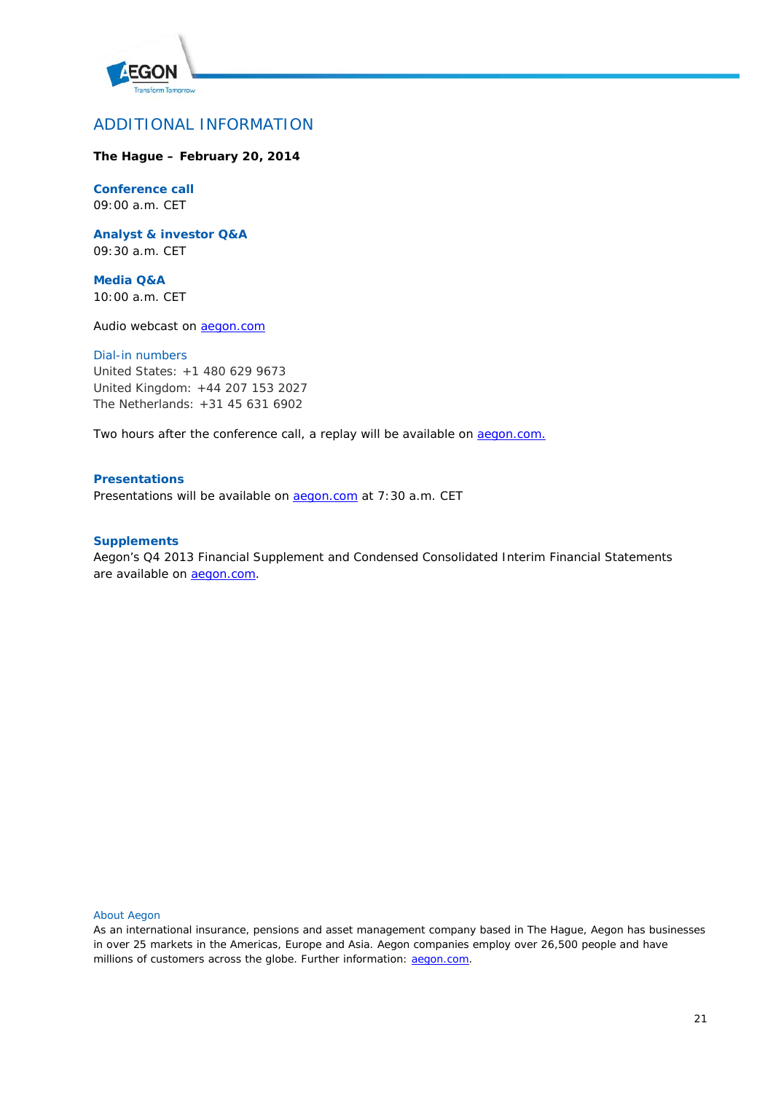

# ADDITIONAL INFORMATION

# **The Hague – February 20, 2014**

# **Conference call**

09:00 a.m. CET

**Analyst & investor Q&A** 09:30 a.m. CET

**Media Q&A** 10:00 a.m. CET

Audio webcast on [aegon.com](http://www.aegon.com/)

### *Dial-in numbers*

United States: +1 480 629 9673 United Kingdom: +44 207 153 2027 The Netherlands: +31 45 631 6902

Two hours after the conference call, a replay will be available on **aegon.com.** 

# **Presentations**

Presentations will be available on **aegon.com** at 7:30 a.m. CET

## **Supplements**

Aegon's Q4 2013 Financial Supplement and Condensed Consolidated Interim Financial Statements are available on **aegon.com**.

## About Aegon

As an international insurance, pensions and asset management company based in The Hague, Aegon has businesses in over 25 markets in the Americas, Europe and Asia. Aegon companies employ over 26,500 people and have millions of customers across the globe. Further information: **aegon.com**.